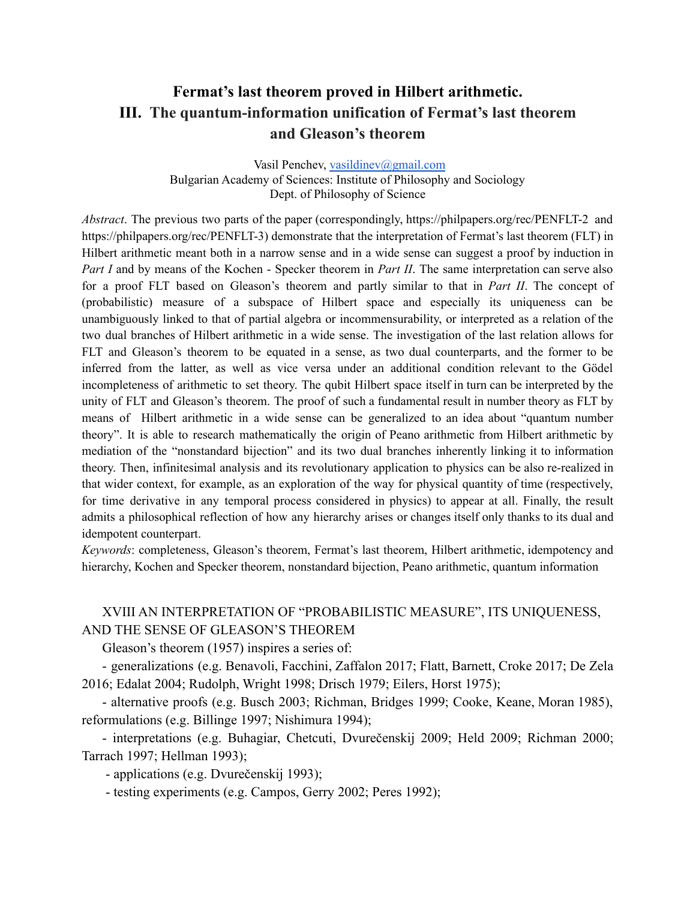# **Fermat's last theorem proved in Hilbert arithmetic. III. The quantum-information unification of Fermat's last theorem and Gleason's theorem**

Vasil Penchev, [vasildinev@gmail.com](mailto:vasildinev@gmail.com) Bulgarian Academy of Sciences: Institute of Philosophy and Sociology Dept. of Philosophy of Science

*Abstract*. The previous two parts of the paper (correspondingly, https://philpapers.org/rec/PENFLT-2 and https://philpapers.org/rec/PENFLT-3) demonstrate that the interpretation of Fermat's last theorem (FLT) in Hilbert arithmetic meant both in a narrow sense and in a wide sense can suggest a proof by induction in *Part I* and by means of the Kochen - Specker theorem in *Part II*. The same interpretation can serve also for a proof FLT based on Gleason's theorem and partly similar to that in *Part II*. The concept of (probabilistic) measure of a subspace of Hilbert space and especially its uniqueness can be unambiguously linked to that of partial algebra or incommensurability, or interpreted as a relation of the two dual branches of Hilbert arithmetic in a wide sense. The investigation of the last relation allows for FLT and Gleason's theorem to be equated in a sense, as two dual counterparts, and the former to be inferred from the latter, as well as vice versa under an additional condition relevant to the Gödel incompleteness of arithmetic to set theory. The qubit Hilbert space itself in turn can be interpreted by the unity of FLT and Gleason's theorem. The proof of such a fundamental result in number theory as FLT by means of Hilbert arithmetic in a wide sense can be generalized to an idea about "quantum number theory". It is able to research mathematically the origin of Peano arithmetic from Hilbert arithmetic by mediation of the "nonstandard bijection" and its two dual branches inherently linking it to information theory. Then, infinitesimal analysis and its revolutionary application to physics can be also re-realized in that wider context, for example, as an exploration of the way for physical quantity of time (respectively, for time derivative in any temporal process considered in physics) to appear at all. Finally, the result admits a philosophical reflection of how any hierarchy arises or changes itself only thanks to its dual and idempotent counterpart.

*Keywords*: completeness, Gleason's theorem, Fermat's last theorem, Hilbert arithmetic, idempotency and hierarchy, Kochen and Specker theorem, nonstandard bijection, Peano arithmetic, quantum information

## XVIII AN INTERPRETATION OF "PROBABILISTIC MEASURE", ITS UNIQUENESS, AND THE SENSE OF GLEASON'S THEOREM

Gleason's theorem (1957) inspires a series of:

- generalizations (e.g. Benavoli, Facchini, Zaffalon 2017; Flatt, Barnett, Croke 2017; De Zela 2016; Edalat 2004; Rudolph, Wright 1998; Drisch 1979; Eilers, Horst 1975);

- alternative proofs (e.g. Busch 2003; Richman, Bridges 1999; Cooke, Keane, Moran 1985), reformulations (e.g. Billinge 1997; Nishimura 1994);

- interpretations (e.g. Buhagiar, Chetcuti, Dvurečenskij 2009; Held 2009; Richman 2000; Tarrach 1997; Hellman 1993);

- applications (e.g. Dvurečenskij 1993);

- testing experiments (e.g. Campos, Gerry 2002; Peres 1992);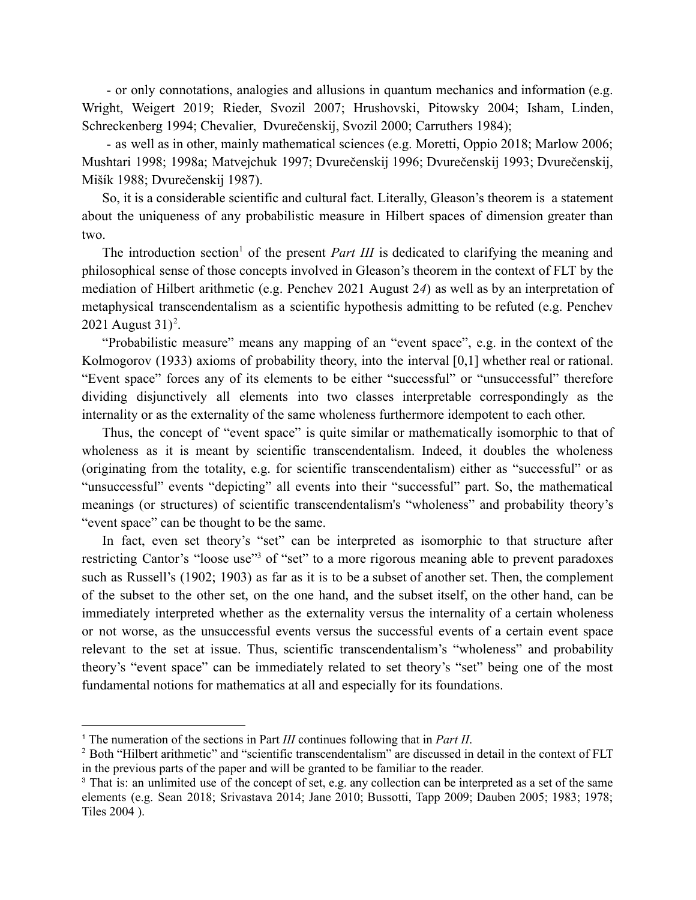- or only connotations, analogies and allusions in quantum mechanics and information (e.g. Wright, Weigert 2019; Rieder, Svozil 2007; Hrushovski, Pitowsky 2004; Isham, Linden, Schreckenberg 1994; Chevalier, Dvurečenskij, Svozil 2000; Carruthers 1984);

- as well as in other, mainly mathematical sciences (e.g. Moretti, Oppio 2018; Marlow 2006; Mushtari 1998; 1998a; Matvejchuk 1997; Dvurečenskij 1996; Dvurečenskij 1993; Dvurečenskij, Mišík 1988; Dvurečenskij 1987).

So, it is a considerable scientific and cultural fact. Literally, Gleason's theorem is a statement about the uniqueness of any probabilistic measure in Hilbert spaces of dimension greater than two.

The introduction section<sup>1</sup> of the present *Part III* is dedicated to clarifying the meaning and philosophical sense of those concepts involved in Gleason's theorem in the context of FLT by the mediation of Hilbert arithmetic (e.g. Penchev 2021 August 2*4*) as well as by an interpretation of metaphysical transcendentalism as a scientific hypothesis admitting to be refuted (e.g. Penchev 2021 August  $31$ <sup>2</sup>.

"Probabilistic measure" means any mapping of an "event space", e.g. in the context of the Kolmogorov (1933) axioms of probability theory, into the interval [0,1] whether real or rational. "Event space" forces any of its elements to be either "successful" or "unsuccessful" therefore dividing disjunctively all elements into two classes interpretable correspondingly as the internality or as the externality of the same wholeness furthermore idempotent to each other.

Thus, the concept of "event space" is quite similar or mathematically isomorphic to that of wholeness as it is meant by scientific transcendentalism. Indeed, it doubles the wholeness (originating from the totality, e.g. for scientific transcendentalism) either as "successful" or as "unsuccessful" events "depicting" all events into their "successful" part. So, the mathematical meanings (or structures) of scientific transcendentalism's "wholeness" and probability theory's "event space" can be thought to be the same.

In fact, even set theory's "set" can be interpreted as isomorphic to that structure after restricting Cantor's "loose use"<sup>3</sup> of "set" to a more rigorous meaning able to prevent paradoxes such as Russell's (1902; 1903) as far as it is to be a subset of another set. Then, the complement of the subset to the other set, on the one hand, and the subset itself, on the other hand, can be immediately interpreted whether as the externality versus the internality of a certain wholeness or not worse, as the unsuccessful events versus the successful events of a certain event space relevant to the set at issue. Thus, scientific transcendentalism's "wholeness" and probability theory's "event space" can be immediately related to set theory's "set" being one of the most fundamental notions for mathematics at all and especially for its foundations.

<sup>1</sup> The numeration of the sections in Part *III* continues following that in *Part II*.

<sup>&</sup>lt;sup>2</sup> Both "Hilbert arithmetic" and "scientific transcendentalism" are discussed in detail in the context of FLT in the previous parts of the paper and will be granted to be familiar to the reader.

<sup>3</sup> That is: an unlimited use of the concept of set, e.g. any collection can be interpreted as a set of the same elements (e.g. Sean 2018; Srivastava 2014; Jane 2010; Bussotti, Tapp 2009; Dauben 2005; 1983; 1978; Tiles 2004 ).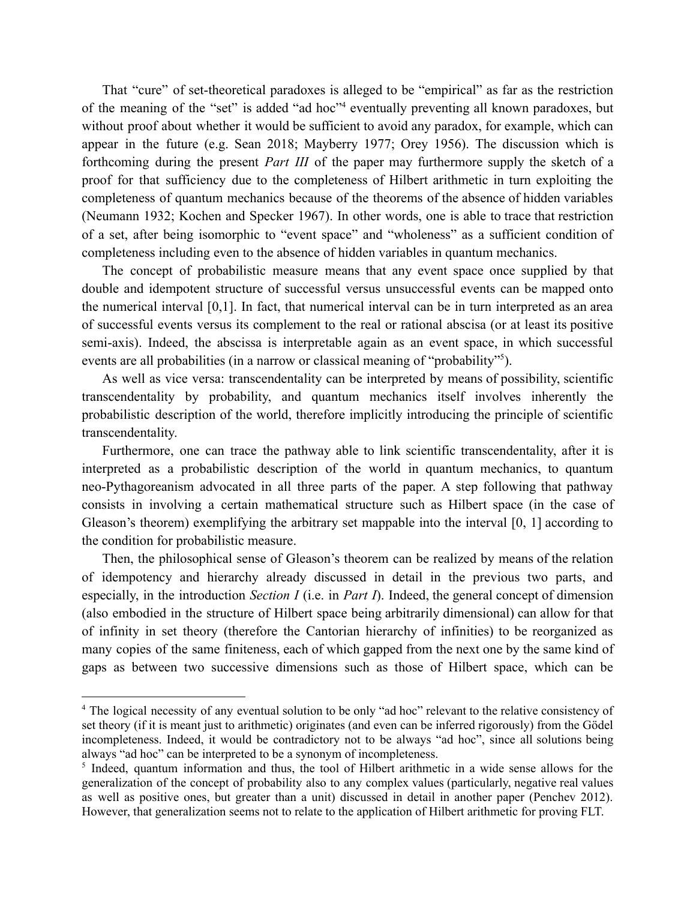That "cure" of set-theoretical paradoxes is alleged to be "empirical" as far as the restriction of the meaning of the "set" is added "ad hoc"<sup>4</sup> eventually preventing all known paradoxes, but without proof about whether it would be sufficient to avoid any paradox, for example, which can appear in the future (e.g. Sean 2018; Mayberry 1977; Orey 1956). The discussion which is forthcoming during the present *Part III* of the paper may furthermore supply the sketch of a proof for that sufficiency due to the completeness of Hilbert arithmetic in turn exploiting the completeness of quantum mechanics because of the theorems of the absence of hidden variables (Neumann 1932; Kochen and Specker 1967). In other words, one is able to trace that restriction of a set, after being isomorphic to "event space" and "wholeness" as a sufficient condition of completeness including even to the absence of hidden variables in quantum mechanics.

The concept of probabilistic measure means that any event space once supplied by that double and idempotent structure of successful versus unsuccessful events can be mapped onto the numerical interval [0,1]. In fact, that numerical interval can be in turn interpreted as an area of successful events versus its complement to the real or rational abscisa (or at least its positive semi-axis). Indeed, the abscissa is interpretable again as an event space, in which successful events are all probabilities (in a narrow or classical meaning of "probability"<sup>5</sup>).

As well as vice versa: transcendentality can be interpreted by means of possibility, scientific transcendentality by probability, and quantum mechanics itself involves inherently the probabilistic description of the world, therefore implicitly introducing the principle of scientific transcendentality.

Furthermore, one can trace the pathway able to link scientific transcendentality, after it is interpreted as a probabilistic description of the world in quantum mechanics, to quantum neo-Pythagoreanism advocated in all three parts of the paper. A step following that pathway consists in involving a certain mathematical structure such as Hilbert space (in the case of Gleason's theorem) exemplifying the arbitrary set mappable into the interval [0, 1] according to the condition for probabilistic measure.

Then, the philosophical sense of Gleason's theorem can be realized by means of the relation of idempotency and hierarchy already discussed in detail in the previous two parts, and especially, in the introduction *Section I* (i.e. in *Part I*). Indeed, the general concept of dimension (also embodied in the structure of Hilbert space being arbitrarily dimensional) can allow for that of infinity in set theory (therefore the Cantorian hierarchy of infinities) to be reorganized as many copies of the same finiteness, each of which gapped from the next one by the same kind of gaps as between two successive dimensions such as those of Hilbert space, which can be

<sup>&</sup>lt;sup>4</sup> The logical necessity of any eventual solution to be only "ad hoc" relevant to the relative consistency of set theory (if it is meant just to arithmetic) originates (and even can be inferred rigorously) from the Gödel incompleteness. Indeed, it would be contradictory not to be always "ad hoc", since all solutions being always "ad hoc" can be interpreted to be a synonym of incompleteness.

<sup>&</sup>lt;sup>5</sup> Indeed, quantum information and thus, the tool of Hilbert arithmetic in a wide sense allows for the generalization of the concept of probability also to any complex values (particularly, negative real values as well as positive ones, but greater than a unit) discussed in detail in another paper (Penchev 2012). However, that generalization seems not to relate to the application of Hilbert arithmetic for proving FLT.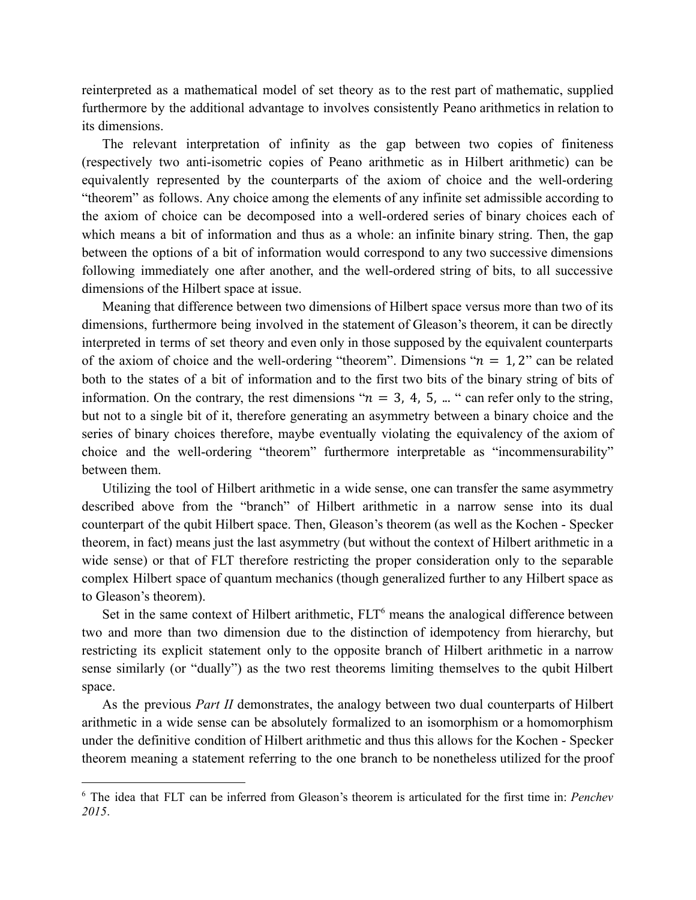reinterpreted as a mathematical model of set theory as to the rest part of mathematic, supplied furthermore by the additional advantage to involves consistently Peano arithmetics in relation to its dimensions.

The relevant interpretation of infinity as the gap between two copies of finiteness (respectively two anti-isometric copies of Peano arithmetic as in Hilbert arithmetic) can be equivalently represented by the counterparts of the axiom of choice and the well-ordering "theorem" as follows. Any choice among the elements of any infinite set admissible according to the axiom of choice can be decomposed into a well-ordered series of binary choices each of which means a bit of information and thus as a whole: an infinite binary string. Then, the gap between the options of a bit of information would correspond to any two successive dimensions following immediately one after another, and the well-ordered string of bits, to all successive dimensions of the Hilbert space at issue.

Meaning that difference between two dimensions of Hilbert space versus more than two of its dimensions, furthermore being involved in the statement of Gleason's theorem, it can be directly interpreted in terms of set theory and even only in those supposed by the equivalent counterparts of the axiom of choice and the well-ordering "theorem". Dimensions " $n = 1, 2$ " can be related both to the states of a bit of information and to the first two bits of the binary string of bits of information. On the contrary, the rest dimensions " $n = 3, 4, 5, ...$ " can refer only to the string, but not to a single bit of it, therefore generating an asymmetry between a binary choice and the series of binary choices therefore, maybe eventually violating the equivalency of the axiom of choice and the well-ordering "theorem" furthermore interpretable as "incommensurability" between them.

Utilizing the tool of Hilbert arithmetic in a wide sense, one can transfer the same asymmetry described above from the "branch" of Hilbert arithmetic in a narrow sense into its dual counterpart of the qubit Hilbert space. Then, Gleason's theorem (as well as the Kochen - Specker theorem, in fact) means just the last asymmetry (but without the context of Hilbert arithmetic in a wide sense) or that of FLT therefore restricting the proper consideration only to the separable complex Hilbert space of quantum mechanics (though generalized further to any Hilbert space as to Gleason's theorem).

Set in the same context of Hilbert arithmetic, FLT<sup>6</sup> means the analogical difference between two and more than two dimension due to the distinction of idempotency from hierarchy, but restricting its explicit statement only to the opposite branch of Hilbert arithmetic in a narrow sense similarly (or "dually") as the two rest theorems limiting themselves to the qubit Hilbert space.

As the previous *Part II* demonstrates, the analogy between two dual counterparts of Hilbert arithmetic in a wide sense can be absolutely formalized to an isomorphism or a homomorphism under the definitive condition of Hilbert arithmetic and thus this allows for the Kochen - Specker theorem meaning a statement referring to the one branch to be nonetheless utilized for the proof

<sup>6</sup> The idea that FLT can be inferred from Gleason's theorem is articulated for the first time in: *Penchev 2015*.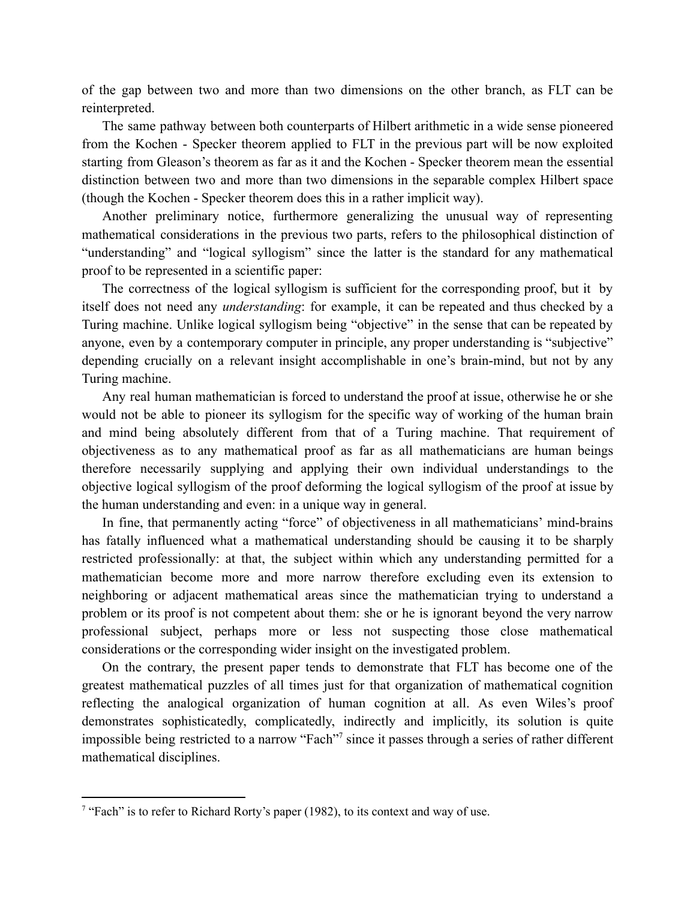of the gap between two and more than two dimensions on the other branch, as FLT can be reinterpreted.

The same pathway between both counterparts of Hilbert arithmetic in a wide sense pioneered from the Kochen - Specker theorem applied to FLT in the previous part will be now exploited starting from Gleason's theorem as far as it and the Kochen - Specker theorem mean the essential distinction between two and more than two dimensions in the separable complex Hilbert space (though the Kochen - Specker theorem does this in a rather implicit way).

Another preliminary notice, furthermore generalizing the unusual way of representing mathematical considerations in the previous two parts, refers to the philosophical distinction of "understanding" and "logical syllogism" since the latter is the standard for any mathematical proof to be represented in a scientific paper:

The correctness of the logical syllogism is sufficient for the corresponding proof, but it by itself does not need any *understanding*: for example, it can be repeated and thus checked by a Turing machine. Unlike logical syllogism being "objective" in the sense that can be repeated by anyone, even by a contemporary computer in principle, any proper understanding is "subjective" depending crucially on a relevant insight accomplishable in one's brain-mind, but not by any Turing machine.

Any real human mathematician is forced to understand the proof at issue, otherwise he or she would not be able to pioneer its syllogism for the specific way of working of the human brain and mind being absolutely different from that of a Turing machine. That requirement of objectiveness as to any mathematical proof as far as all mathematicians are human beings therefore necessarily supplying and applying their own individual understandings to the objective logical syllogism of the proof deforming the logical syllogism of the proof at issue by the human understanding and even: in a unique way in general.

In fine, that permanently acting "force" of objectiveness in all mathematicians' mind-brains has fatally influenced what a mathematical understanding should be causing it to be sharply restricted professionally: at that, the subject within which any understanding permitted for a mathematician become more and more narrow therefore excluding even its extension to neighboring or adjacent mathematical areas since the mathematician trying to understand a problem or its proof is not competent about them: she or he is ignorant beyond the very narrow professional subject, perhaps more or less not suspecting those close mathematical considerations or the corresponding wider insight on the investigated problem.

On the contrary, the present paper tends to demonstrate that FLT has become one of the greatest mathematical puzzles of all times just for that organization of mathematical cognition reflecting the analogical organization of human cognition at all. As even Wiles's proof demonstrates sophisticatedly, complicatedly, indirectly and implicitly, its solution is quite impossible being restricted to a narrow "Fach"<sup>7</sup> since it passes through a series of rather different mathematical disciplines.

<sup>&</sup>lt;sup>7</sup> "Fach" is to refer to Richard Rorty's paper (1982), to its context and way of use.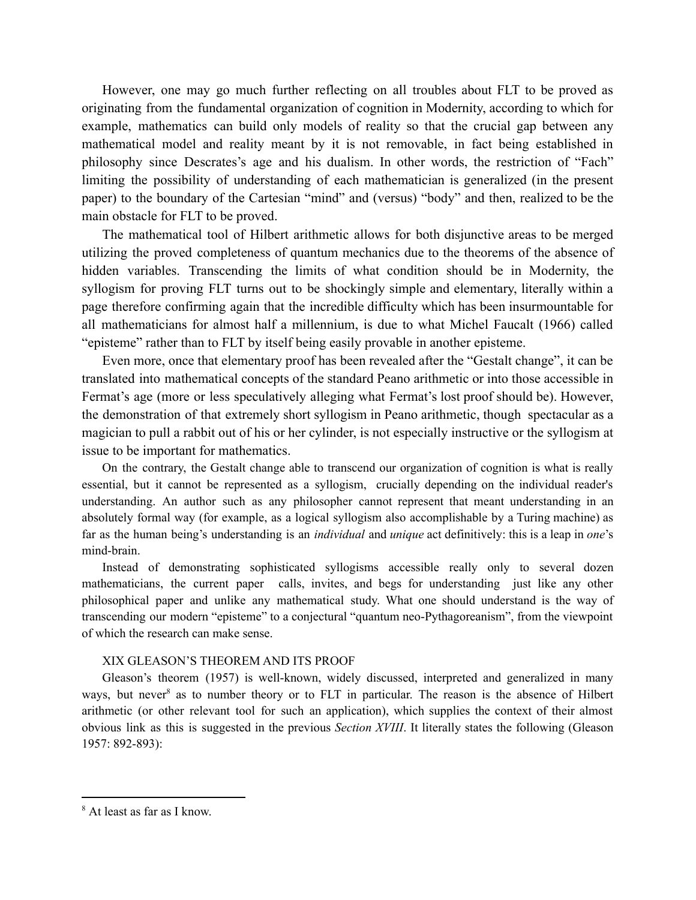However, one may go much further reflecting on all troubles about FLT to be proved as originating from the fundamental organization of cognition in Modernity, according to which for example, mathematics can build only models of reality so that the crucial gap between any mathematical model and reality meant by it is not removable, in fact being established in philosophy since Descrates's age and his dualism. In other words, the restriction of "Fach" limiting the possibility of understanding of each mathematician is generalized (in the present paper) to the boundary of the Cartesian "mind" and (versus) "body" and then, realized to be the main obstacle for FLT to be proved.

The mathematical tool of Hilbert arithmetic allows for both disjunctive areas to be merged utilizing the proved completeness of quantum mechanics due to the theorems of the absence of hidden variables. Transcending the limits of what condition should be in Modernity, the syllogism for proving FLT turns out to be shockingly simple and elementary, literally within a page therefore confirming again that the incredible difficulty which has been insurmountable for all mathematicians for almost half a millennium, is due to what Michel Faucalt (1966) called "episteme" rather than to FLT by itself being easily provable in another episteme.

Even more, once that elementary proof has been revealed after the "Gestalt change", it can be translated into mathematical concepts of the standard Peano arithmetic or into those accessible in Fermat's age (more or less speculatively alleging what Fermat's lost proof should be). However, the demonstration of that extremely short syllogism in Peano arithmetic, though spectacular as a magician to pull a rabbit out of his or her cylinder, is not especially instructive or the syllogism at issue to be important for mathematics.

On the contrary, the Gestalt change able to transcend our organization of cognition is what is really essential, but it cannot be represented as a syllogism, crucially depending on the individual reader's understanding. An author such as any philosopher cannot represent that meant understanding in an absolutely formal way (for example, as a logical syllogism also accomplishable by a Turing machine) as far as the human being's understanding is an *individual* and *unique* act definitively: this is a leap in *one*'s mind-brain.

Instead of demonstrating sophisticated syllogisms accessible really only to several dozen mathematicians, the current paper calls, invites, and begs for understanding just like any other philosophical paper and unlike any mathematical study. What one should understand is the way of transcending our modern "episteme" to a conjectural "quantum neo-Pythagoreanism", from the viewpoint of which the research can make sense.

#### XIX GLEASON'S THEOREM AND ITS PROOF

Gleason's theorem (1957) is well-known, widely discussed, interpreted and generalized in many ways, but never<sup>8</sup> as to number theory or to FLT in particular. The reason is the absence of Hilbert arithmetic (or other relevant tool for such an application), which supplies the context of their almost obvious link as this is suggested in the previous *Section XVIII*. It literally states the following (Gleason 1957: 892-893):

<sup>8</sup> At least as far as I know.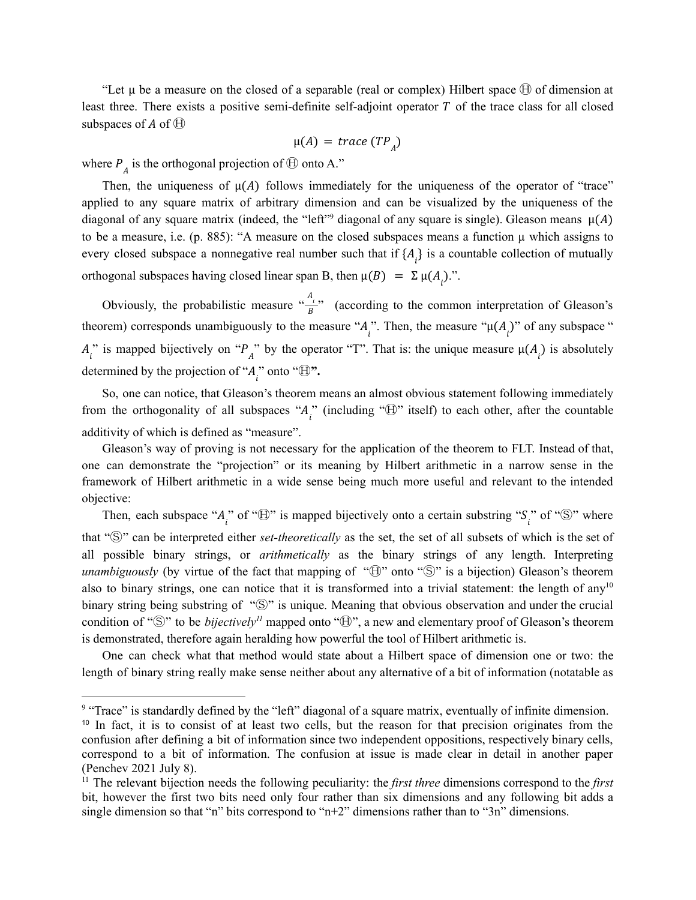"Let  $\mu$  be a measure on the closed of a separable (real or complex) Hilbert space  $\oplus$  of dimension at least three. There exists a positive semi-definite self-adjoint operator  $T$  of the trace class for all closed subspaces of A of  $\oplus$ 

$$
\mu(A) = trace\left(TP_{A}\right)
$$

where  $P_A$  is the orthogonal projection of  $\oplus$  onto A."

Then, the uniqueness of  $\mu(A)$  follows immediately for the uniqueness of the operator of "trace" applied to any square matrix of arbitrary dimension and can be visualized by the uniqueness of the diagonal of any square matrix (indeed, the "left"<sup>9</sup> diagonal of any square is single). Gleason means  $\mu(A)$ to be a measure, i.e. (p. 885): "A measure on the closed subspaces means a function  $\mu$  which assigns to every closed subspace a nonnegative real number such that if  $\{A_i\}$  is a countable collection of mutually orthogonal subspaces having closed linear span B, then  $\mu(B) = \Sigma \mu(A_i)$ .".

Obviously, the probabilistic measure  $\frac{A_i}{R}$  (according to the common interpretation of Gleason's B theorem) corresponds unambiguously to the measure " $A_i$ ". Then, the measure " $\mu(A_i)$ " of any subspace "  $A_i^{\prime\prime}$  is mapped bijectively on " $P_A^{\prime\prime}$ " by the operator "T". That is: the unique measure  $\mu(A_i)$  is absolutely determined by the projection of " $A_i$ " onto " $\oplus$ ".

So, one can notice, that Gleason's theorem means an almost obvious statement following immediately from the orthogonality of all subspaces " $A_i$ " (including " $\oplus$ " itself) to each other, after the countable additivity of which is defined as "measure".

Gleason's way of proving is not necessary for the application of the theorem to FLT. Instead of that, one can demonstrate the "projection" or its meaning by Hilbert arithmetic in a narrow sense in the framework of Hilbert arithmetic in a wide sense being much more useful and relevant to the intended objective:

Then, each subspace " $A_i$ " of " $\oplus$ " is mapped bijectively onto a certain substring " $S_i$ " of " $\otimes$ " where that "Ⓢ" can be interpreted either *set-theoretically* as the set, the set of all subsets of which is the set of all possible binary strings, or *arithmetically* as the binary strings of any length. Interpreting *unambiguously* (by virtue of the fact that mapping of " $\oplus$ " onto " $\otimes$ " is a bijection) Gleason's theorem also to binary strings, one can notice that it is transformed into a trivial statement: the length of any<sup>10</sup> binary string being substring of "S" is unique. Meaning that obvious observation and under the crucial condition of " $\mathbb{S}$ " to be *bijectively*<sup> $11$ </sup> mapped onto " $\mathbb{H}$ ", a new and elementary proof of Gleason's theorem is demonstrated, therefore again heralding how powerful the tool of Hilbert arithmetic is.

One can check what that method would state about a Hilbert space of dimension one or two: the length of binary string really make sense neither about any alternative of a bit of information (notatable as

<sup>&</sup>lt;sup>9</sup> "Trace" is standardly defined by the "left" diagonal of a square matrix, eventually of infinite dimension.

<sup>&</sup>lt;sup>10</sup> In fact, it is to consist of at least two cells, but the reason for that precision originates from the confusion after defining a bit of information since two independent oppositions, respectively binary cells, correspond to a bit of information. The confusion at issue is made clear in detail in another paper (Penchev 2021 July 8).

<sup>11</sup> The relevant bijection needs the following peculiarity: the *first three* dimensions correspond to the *first* bit, however the first two bits need only four rather than six dimensions and any following bit adds a single dimension so that "n" bits correspond to "n+2" dimensions rather than to "3n" dimensions.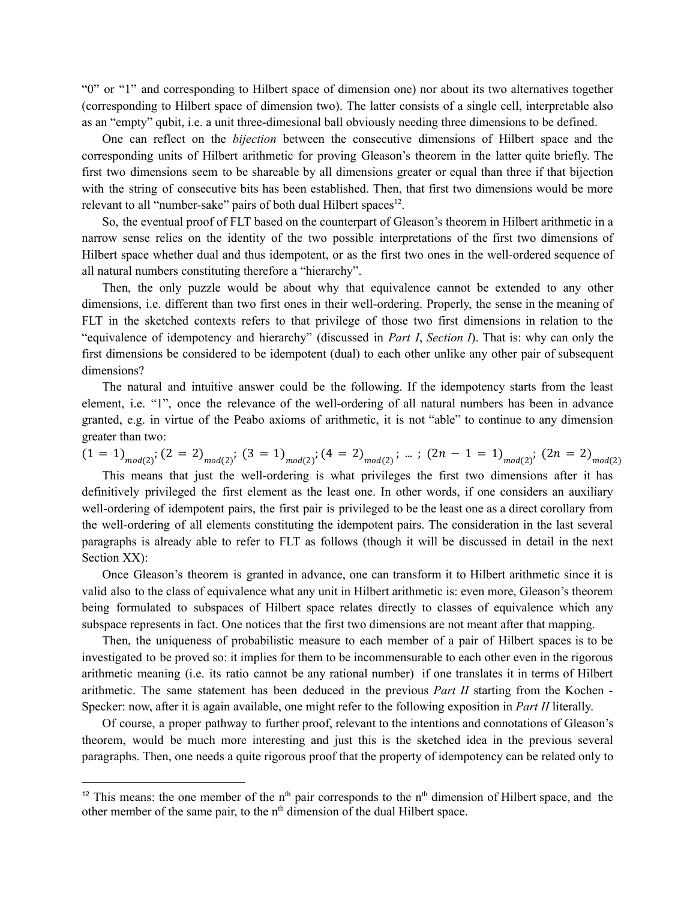"0" or "1" and corresponding to Hilbert space of dimension one) nor about its two alternatives together (corresponding to Hilbert space of dimension two). The latter consists of a single cell, interpretable also as an "empty" qubit, i.e. a unit three-dimesional ball obviously needing three dimensions to be defined.

One can reflect on the *bijection* between the consecutive dimensions of Hilbert space and the corresponding units of Hilbert arithmetic for proving Gleason's theorem in the latter quite briefly. The first two dimensions seem to be shareable by all dimensions greater or equal than three if that bijection with the string of consecutive bits has been established. Then, that first two dimensions would be more relevant to all "number-sake" pairs of both dual Hilbert spaces<sup>12</sup>.

So, the eventual proof of FLT based on the counterpart of Gleason's theorem in Hilbert arithmetic in a narrow sense relies on the identity of the two possible interpretations of the first two dimensions of Hilbert space whether dual and thus idempotent, or as the first two ones in the well-ordered sequence of all natural numbers constituting therefore a "hierarchy".

Then, the only puzzle would be about why that equivalence cannot be extended to any other dimensions, i.e. different than two first ones in their well-ordering. Properly, the sense in the meaning of FLT in the sketched contexts refers to that privilege of those two first dimensions in relation to the "equivalence of idempotency and hierarchy" (discussed in *Part I*, *Section I*). That is: why can only the first dimensions be considered to be idempotent (dual) to each other unlike any other pair of subsequent dimensions?

The natural and intuitive answer could be the following. If the idempotency starts from the least element, i.e. "1", once the relevance of the well-ordering of all natural numbers has been in advance granted, e.g. in virtue of the Peabo axioms of arithmetic, it is not "able" to continue to any dimension greater than two:

 $(1 = 1)_{mod(2)}$ ;  $(2 = 2)_{mod(2)}$ ;  $(3 = 1)_{mod(2)}$ ;  $(4 = 2)_{mod(2)}$ ; ...;  $(2n - 1 = 1)_{mod(2)}$ ;  $(2n = 2)_{mod(2)}$ 

This means that just the well-ordering is what privileges the first two dimensions after it has definitively privileged the first element as the least one. In other words, if one considers an auxiliary well-ordering of idempotent pairs, the first pair is privileged to be the least one as a direct corollary from the well-ordering of all elements constituting the idempotent pairs. The consideration in the last several paragraphs is already able to refer to FLT as follows (though it will be discussed in detail in the next Section XX):

Once Gleason's theorem is granted in advance, one can transform it to Hilbert arithmetic since it is valid also to the class of equivalence what any unit in Hilbert arithmetic is: even more, Gleason's theorem being formulated to subspaces of Hilbert space relates directly to classes of equivalence which any subspace represents in fact. One notices that the first two dimensions are not meant after that mapping.

Then, the uniqueness of probabilistic measure to each member of a pair of Hilbert spaces is to be investigated to be proved so: it implies for them to be incommensurable to each other even in the rigorous arithmetic meaning (i.e. its ratio cannot be any rational number) if one translates it in terms of Hilbert arithmetic. The same statement has been deduced in the previous *Part II* starting from the Kochen - Specker: now, after it is again available, one might refer to the following exposition in *Part II* literally.

Of course, a proper pathway to further proof, relevant to the intentions and connotations of Gleason's theorem, would be much more interesting and just this is the sketched idea in the previous several paragraphs. Then, one needs a quite rigorous proof that the property of idempotency can be related only to

<sup>&</sup>lt;sup>12</sup> This means: the one member of the  $n<sup>th</sup>$  pair corresponds to the  $n<sup>th</sup>$  dimension of Hilbert space, and the other member of the same pair, to the  $n<sup>th</sup>$  dimension of the dual Hilbert space.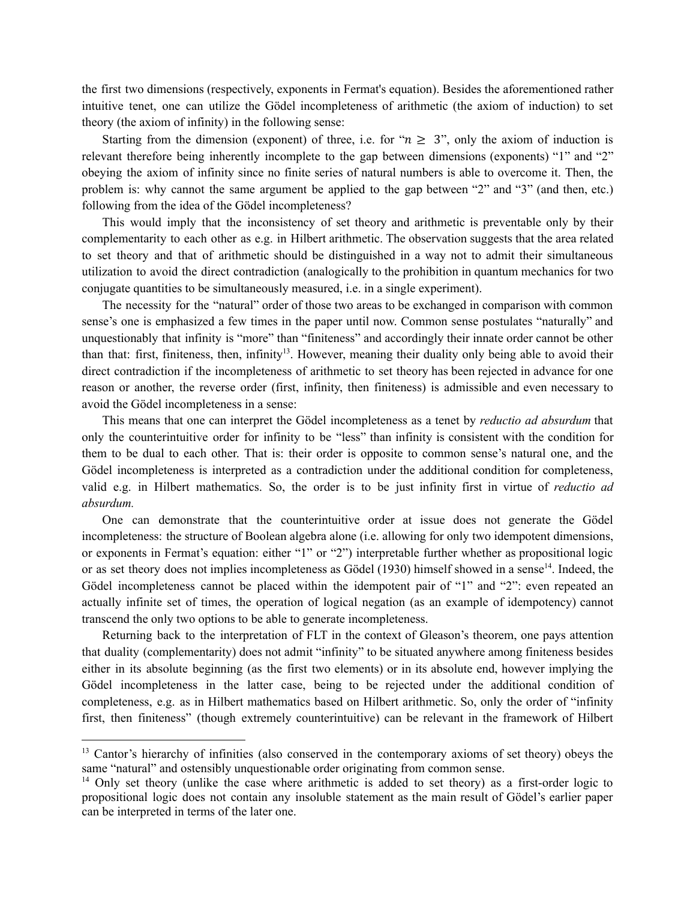the first two dimensions (respectively, exponents in Fermat's equation). Besides the aforementioned rather intuitive tenet, one can utilize the Gödel incompleteness of arithmetic (the axiom of induction) to set theory (the axiom of infinity) in the following sense:

Starting from the dimension (exponent) of three, i.e. for " $n \geq 3$ ", only the axiom of induction is relevant therefore being inherently incomplete to the gap between dimensions (exponents) "1" and "2" obeying the axiom of infinity since no finite series of natural numbers is able to overcome it. Then, the problem is: why cannot the same argument be applied to the gap between "2" and "3" (and then, etc.) following from the idea of the Gödel incompleteness?

This would imply that the inconsistency of set theory and arithmetic is preventable only by their complementarity to each other as e.g. in Hilbert arithmetic. The observation suggests that the area related to set theory and that of arithmetic should be distinguished in a way not to admit their simultaneous utilization to avoid the direct contradiction (analogically to the prohibition in quantum mechanics for two conjugate quantities to be simultaneously measured, i.e. in a single experiment).

The necessity for the "natural" order of those two areas to be exchanged in comparison with common sense's one is emphasized a few times in the paper until now. Common sense postulates "naturally" and unquestionably that infinity is "more" than "finiteness" and accordingly their innate order cannot be other than that: first, finiteness, then, infinity<sup>13</sup>. However, meaning their duality only being able to avoid their direct contradiction if the incompleteness of arithmetic to set theory has been rejected in advance for one reason or another, the reverse order (first, infinity, then finiteness) is admissible and even necessary to avoid the Gödel incompleteness in a sense:

This means that one can interpret the Gödel incompleteness as a tenet by *reductio ad absurdum* that only the counterintuitive order for infinity to be "less" than infinity is consistent with the condition for them to be dual to each other. That is: their order is opposite to common sense's natural one, and the Gödel incompleteness is interpreted as a contradiction under the additional condition for completeness, valid e.g. in Hilbert mathematics. So, the order is to be just infinity first in virtue of *reductio ad absurdum.*

One can demonstrate that the counterintuitive order at issue does not generate the Gödel incompleteness: the structure of Boolean algebra alone (i.e. allowing for only two idempotent dimensions, or exponents in Fermat's equation: either "1" or "2") interpretable further whether as propositional logic or as set theory does not implies incompleteness as Gödel (1930) himself showed in a sense<sup>14</sup>. Indeed, the Gödel incompleteness cannot be placed within the idempotent pair of "1" and "2": even repeated an actually infinite set of times, the operation of logical negation (as an example of idempotency) cannot transcend the only two options to be able to generate incompleteness.

Returning back to the interpretation of FLT in the context of Gleason's theorem, one pays attention that duality (complementarity) does not admit "infinity" to be situated anywhere among finiteness besides either in its absolute beginning (as the first two elements) or in its absolute end, however implying the Gödel incompleteness in the latter case, being to be rejected under the additional condition of completeness, e.g. as in Hilbert mathematics based on Hilbert arithmetic. So, only the order of "infinity first, then finiteness" (though extremely counterintuitive) can be relevant in the framework of Hilbert

<sup>&</sup>lt;sup>13</sup> Cantor's hierarchy of infinities (also conserved in the contemporary axioms of set theory) obeys the same "natural" and ostensibly unquestionable order originating from common sense.

<sup>&</sup>lt;sup>14</sup> Only set theory (unlike the case where arithmetic is added to set theory) as a first-order logic to propositional logic does not contain any insoluble statement as the main result of Gödel's earlier paper can be interpreted in terms of the later one.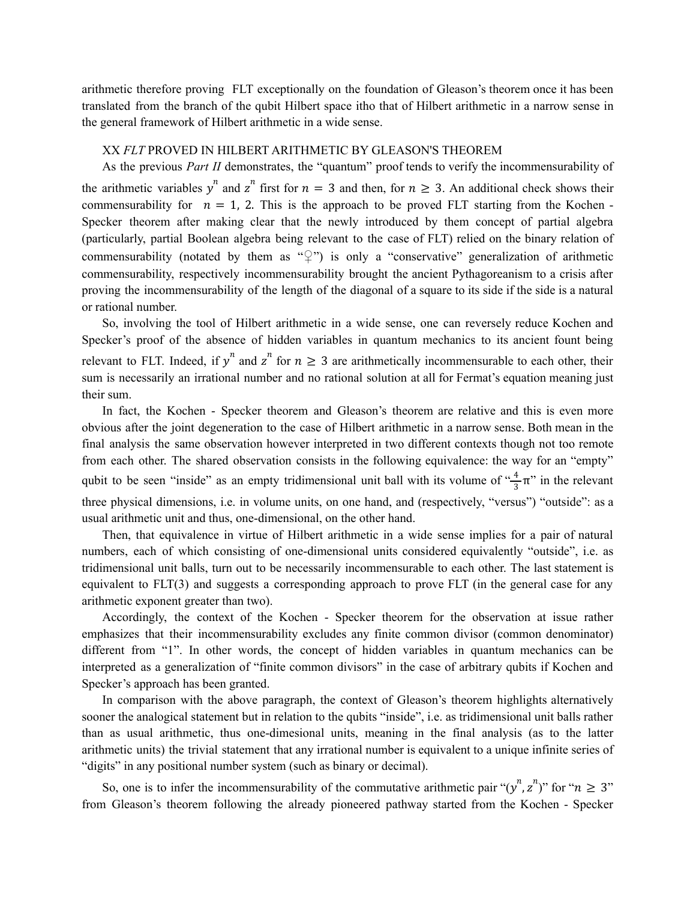arithmetic therefore proving FLT exceptionally on the foundation of Gleason's theorem once it has been translated from the branch of the qubit Hilbert space itho that of Hilbert arithmetic in a narrow sense in the general framework of Hilbert arithmetic in a wide sense.

#### XX *FLT* PROVED IN HILBERT ARITHMETIC BY GLEASON'S THEOREM

As the previous *Part II* demonstrates, the "quantum" proof tends to verify the incommensurability of the arithmetic variables  $y^n$  and  $z^n$  first for  $n = 3$  and then, for  $n \ge 3$ . An additional check shows their commensurability for  $n = 1$ , 2. This is the approach to be proved FLT starting from the Kochen -Specker theorem after making clear that the newly introduced by them concept of partial algebra (particularly, partial Boolean algebra being relevant to the case of FLT) relied on the binary relation of commensurability (notated by them as "♀") is only a "conservative" generalization of arithmetic commensurability, respectively incommensurability brought the ancient Pythagoreanism to a crisis after proving the incommensurability of the length of the diagonal of a square to its side if the side is a natural or rational number.

So, involving the tool of Hilbert arithmetic in a wide sense, one can reversely reduce Kochen and Specker's proof of the absence of hidden variables in quantum mechanics to its ancient fount being relevant to FLT. Indeed, if  $y^n$  and  $z^n$  for  $n \geq 3$  are arithmetically incommensurable to each other, their sum is necessarily an irrational number and no rational solution at all for Fermat's equation meaning just their sum.

In fact, the Kochen - Specker theorem and Gleason's theorem are relative and this is even more obvious after the joint degeneration to the case of Hilbert arithmetic in a narrow sense. Both mean in the final analysis the same observation however interpreted in two different contexts though not too remote from each other. The shared observation consists in the following equivalence: the way for an "empty" qubit to be seen "inside" as an empty tridimensional unit ball with its volume of  $\frac{4}{2}\pi$ " in the relevant  $rac{4}{3}$ π' three physical dimensions, i.e. in volume units, on one hand, and (respectively, "versus") "outside": as a usual arithmetic unit and thus, one-dimensional, on the other hand.

Then, that equivalence in virtue of Hilbert arithmetic in a wide sense implies for a pair of natural numbers, each of which consisting of one-dimensional units considered equivalently "outside", i.e. as tridimensional unit balls, turn out to be necessarily incommensurable to each other. The last statement is equivalent to FLT(3) and suggests a corresponding approach to prove FLT (in the general case for any arithmetic exponent greater than two).

Accordingly, the context of the Kochen - Specker theorem for the observation at issue rather emphasizes that their incommensurability excludes any finite common divisor (common denominator) different from "1". In other words, the concept of hidden variables in quantum mechanics can be interpreted as a generalization of "finite common divisors" in the case of arbitrary qubits if Kochen and Specker's approach has been granted.

In comparison with the above paragraph, the context of Gleason's theorem highlights alternatively sooner the analogical statement but in relation to the qubits "inside", i.e. as tridimensional unit balls rather than as usual arithmetic, thus one-dimesional units, meaning in the final analysis (as to the latter arithmetic units) the trivial statement that any irrational number is equivalent to a unique infinite series of "digits" in any positional number system (such as binary or decimal).

So, one is to infer the incommensurability of the commutative arithmetic pair " $(y^n, z^n)$ " for " $n \geq 3$ " from Gleason's theorem following the already pioneered pathway started from the Kochen - Specker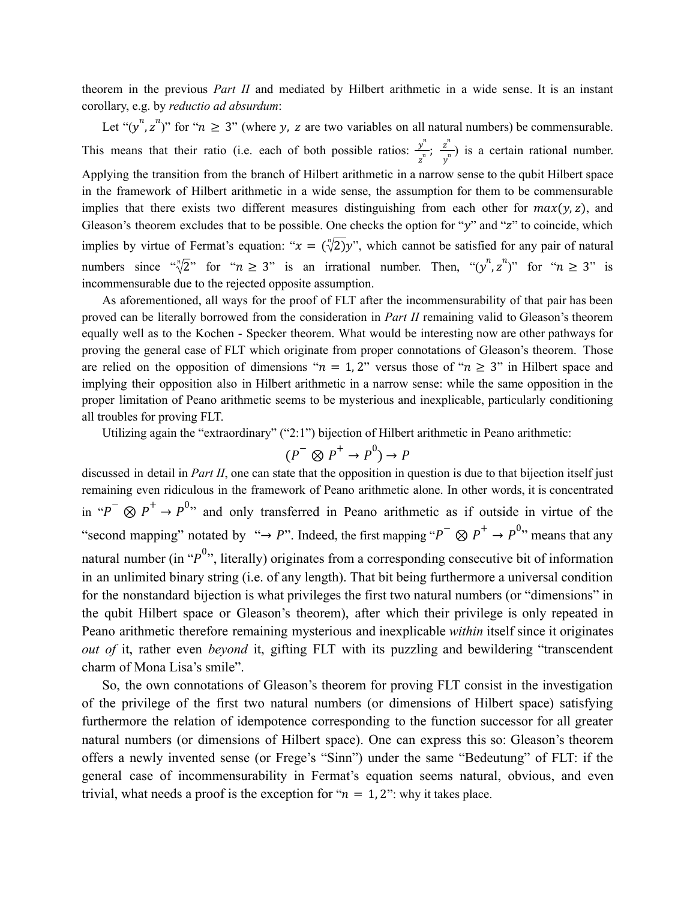theorem in the previous *Part II* and mediated by Hilbert arithmetic in a wide sense. It is an instant corollary, e.g. by *reductio ad absurdum*:

Let " $(y^n, z^n)$ " for " $n \ge 3$ " (where y, z are two variables on all natural numbers) be commensurable. This means that their ratio (i.e. each of both possible ratios:  $\frac{y^n}{n}$ ;  $\frac{z^n}{n}$ ) is a certain rational number.  $\frac{y^n}{z^n}$ ;  $\frac{z^n}{y^n}$  $y^n$ Applying the transition from the branch of Hilbert arithmetic in a narrow sense to the qubit Hilbert space in the framework of Hilbert arithmetic in a wide sense, the assumption for them to be commensurable implies that there exists two different measures distinguishing from each other for  $max(y, z)$ , and Gleason's theorem excludes that to be possible. One checks the option for " $y$ " and " $z$ " to coincide, which implies by virtue of Fermat's equation: " $x = (\sqrt[n]{2})y$ ", which cannot be satisfied for any pair of natural numbers since " $\sqrt[n]{2}$ " for " $n \ge 3$ " is an irrational number. Then, " $(y^n, z^n)$ " for " $n \ge 3$ " is incommensurable due to the rejected opposite assumption.

As aforementioned, all ways for the proof of FLT after the incommensurability of that pair has been proved can be literally borrowed from the consideration in *Part II* remaining valid to Gleason's theorem equally well as to the Kochen - Specker theorem. What would be interesting now are other pathways for proving the general case of FLT which originate from proper connotations of Gleason's theorem. Those are relied on the opposition of dimensions " $n = 1, 2$ " versus those of " $n \ge 3$ " in Hilbert space and implying their opposition also in Hilbert arithmetic in a narrow sense: while the same opposition in the proper limitation of Peano arithmetic seems to be mysterious and inexplicable, particularly conditioning all troubles for proving FLT.

Utilizing again the "extraordinary" ("2:1") bijection of Hilbert arithmetic in Peano arithmetic:

$$
(P^-\otimes P^+\to P^0)\to P
$$

discussed in detail in *Part II*, one can state that the opposition in question is due to that bijection itself just remaining even ridiculous in the framework of Peano arithmetic alone. In other words, it is concentrated in " $P^-\otimes P^+ \rightarrow P^{0,2}$ " and only transferred in Peano arithmetic as if outside in virtue of the "second mapping" notated by "→ P". Indeed, the first mapping " $P^- \otimes P^+ \rightarrow P^{0,1}$ " means that any natural number (in " $p^{0}$ ", literally) originates from a corresponding consecutive bit of information in an unlimited binary string (i.e. of any length). That bit being furthermore a universal condition for the nonstandard bijection is what privileges the first two natural numbers (or "dimensions" in the qubit Hilbert space or Gleason's theorem), after which their privilege is only repeated in Peano arithmetic therefore remaining mysterious and inexplicable *within* itself since it originates *out of* it, rather even *beyond* it, gifting FLT with its puzzling and bewildering "transcendent charm of Mona Lisa's smile".

So, the own connotations of Gleason's theorem for proving FLT consist in the investigation of the privilege of the first two natural numbers (or dimensions of Hilbert space) satisfying furthermore the relation of idempotence corresponding to the function successor for all greater natural numbers (or dimensions of Hilbert space). One can express this so: Gleason's theorem offers a newly invented sense (or Frege's "Sinn") under the same "Bedeutung" of FLT: if the general case of incommensurability in Fermat's equation seems natural, obvious, and even trivial, what needs a proof is the exception for " $n = 1, 2$ ": why it takes place.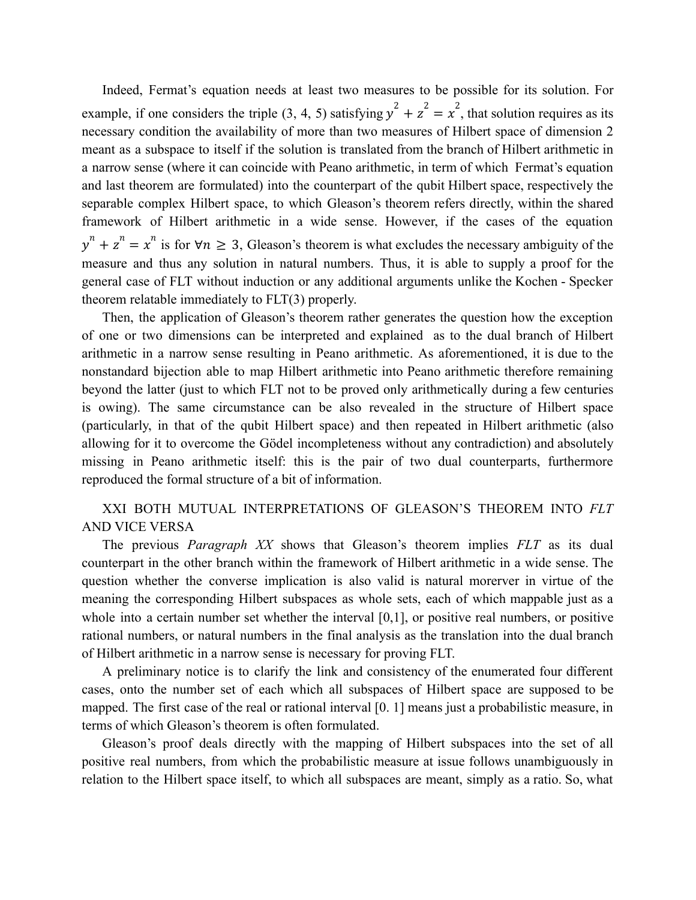Indeed, Fermat's equation needs at least two measures to be possible for its solution. For example, if one considers the triple (3, 4, 5) satisfying  $y^2 + z^2 = x^2$ , that solution requires as its necessary condition the availability of more than two measures of Hilbert space of dimension 2 meant as a subspace to itself if the solution is translated from the branch of Hilbert arithmetic in a narrow sense (where it can coincide with Peano arithmetic, in term of which Fermat's equation and last theorem are formulated) into the counterpart of the qubit Hilbert space, respectively the separable complex Hilbert space, to which Gleason's theorem refers directly, within the shared framework of Hilbert arithmetic in a wide sense. However, if the cases of the equation  $y^{n} + z^{n} = x^{n}$  is for  $\forall n \ge 3$ , Gleason's theorem is what excludes the necessary ambiguity of the measure and thus any solution in natural numbers. Thus, it is able to supply a proof for the general case of FLT without induction or any additional arguments unlike the Kochen - Specker theorem relatable immediately to FLT(3) properly.

Then, the application of Gleason's theorem rather generates the question how the exception of one or two dimensions can be interpreted and explained as to the dual branch of Hilbert arithmetic in a narrow sense resulting in Peano arithmetic. As aforementioned, it is due to the nonstandard bijection able to map Hilbert arithmetic into Peano arithmetic therefore remaining beyond the latter (just to which FLT not to be proved only arithmetically during a few centuries is owing). The same circumstance can be also revealed in the structure of Hilbert space (particularly, in that of the qubit Hilbert space) and then repeated in Hilbert arithmetic (also allowing for it to overcome the Gödel incompleteness without any contradiction) and absolutely missing in Peano arithmetic itself: this is the pair of two dual counterparts, furthermore reproduced the formal structure of a bit of information.

# XXI BOTH MUTUAL INTERPRETATIONS OF GLEASON'S THEOREM INTO *FLT* AND VICE VERSA

The previous *Paragraph XX* shows that Gleason's theorem implies *FLT* as its dual counterpart in the other branch within the framework of Hilbert arithmetic in a wide sense. The question whether the converse implication is also valid is natural morerver in virtue of the meaning the corresponding Hilbert subspaces as whole sets, each of which mappable just as a whole into a certain number set whether the interval [0,1], or positive real numbers, or positive rational numbers, or natural numbers in the final analysis as the translation into the dual branch of Hilbert arithmetic in a narrow sense is necessary for proving FLT.

A preliminary notice is to clarify the link and consistency of the enumerated four different cases, onto the number set of each which all subspaces of Hilbert space are supposed to be mapped. The first case of the real or rational interval [0. 1] means just a probabilistic measure, in terms of which Gleason's theorem is often formulated.

Gleason's proof deals directly with the mapping of Hilbert subspaces into the set of all positive real numbers, from which the probabilistic measure at issue follows unambiguously in relation to the Hilbert space itself, to which all subspaces are meant, simply as a ratio. So, what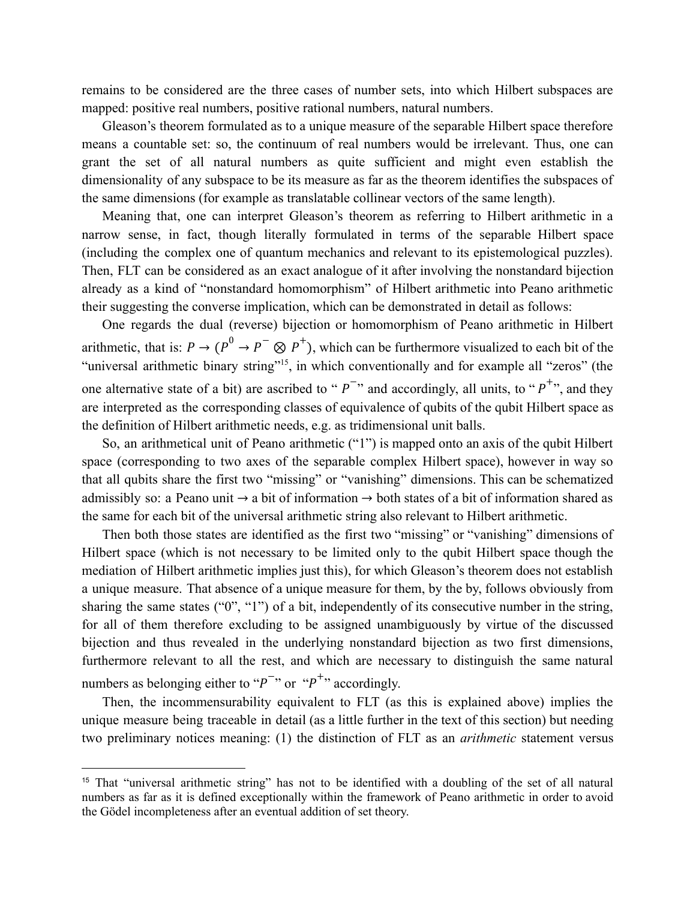remains to be considered are the three cases of number sets, into which Hilbert subspaces are mapped: positive real numbers, positive rational numbers, natural numbers.

Gleason's theorem formulated as to a unique measure of the separable Hilbert space therefore means a countable set: so, the continuum of real numbers would be irrelevant. Thus, one can grant the set of all natural numbers as quite sufficient and might even establish the dimensionality of any subspace to be its measure as far as the theorem identifies the subspaces of the same dimensions (for example as translatable collinear vectors of the same length).

Meaning that, one can interpret Gleason's theorem as referring to Hilbert arithmetic in a narrow sense, in fact, though literally formulated in terms of the separable Hilbert space (including the complex one of quantum mechanics and relevant to its epistemological puzzles). Then, FLT can be considered as an exact analogue of it after involving the nonstandard bijection already as a kind of "nonstandard homomorphism" of Hilbert arithmetic into Peano arithmetic their suggesting the converse implication, which can be demonstrated in detail as follows:

One regards the dual (reverse) bijection or homomorphism of Peano arithmetic in Hilbert arithmetic, that is:  $P \to (P^0 \to P^- \otimes P^+)$ , which can be furthermore visualized to each bit of the "universal arithmetic binary string"<sup>15</sup>, in which conventionally and for example all "zeros" (the one alternative state of a bit) are ascribed to " $P^{-\gamma}$  and accordingly, all units, to " $P^{+,\gamma}$ , and they are interpreted as the corresponding classes of equivalence of qubits of the qubit Hilbert space as the definition of Hilbert arithmetic needs, e.g. as tridimensional unit balls.

So, an arithmetical unit of Peano arithmetic ("1") is mapped onto an axis of the qubit Hilbert space (corresponding to two axes of the separable complex Hilbert space), however in way so that all qubits share the first two "missing" or "vanishing" dimensions. This can be schematized admissibly so: a Peano unit  $\rightarrow$  a bit of information  $\rightarrow$  both states of a bit of information shared as the same for each bit of the universal arithmetic string also relevant to Hilbert arithmetic.

Then both those states are identified as the first two "missing" or "vanishing" dimensions of Hilbert space (which is not necessary to be limited only to the qubit Hilbert space though the mediation of Hilbert arithmetic implies just this), for which Gleason's theorem does not establish a unique measure. That absence of a unique measure for them, by the by, follows obviously from sharing the same states ("0", "1") of a bit, independently of its consecutive number in the string, for all of them therefore excluding to be assigned unambiguously by virtue of the discussed bijection and thus revealed in the underlying nonstandard bijection as two first dimensions, furthermore relevant to all the rest, and which are necessary to distinguish the same natural numbers as belonging either to " $p^{-1}$ " or " $p^{+1}$ " accordingly.

Then, the incommensurability equivalent to FLT (as this is explained above) implies the unique measure being traceable in detail (as a little further in the text of this section) but needing two preliminary notices meaning: (1) the distinction of FLT as an *arithmetic* statement versus

<sup>&</sup>lt;sup>15</sup> That "universal arithmetic string" has not to be identified with a doubling of the set of all natural numbers as far as it is defined exceptionally within the framework of Peano arithmetic in order to avoid the Gödel incompleteness after an eventual addition of set theory.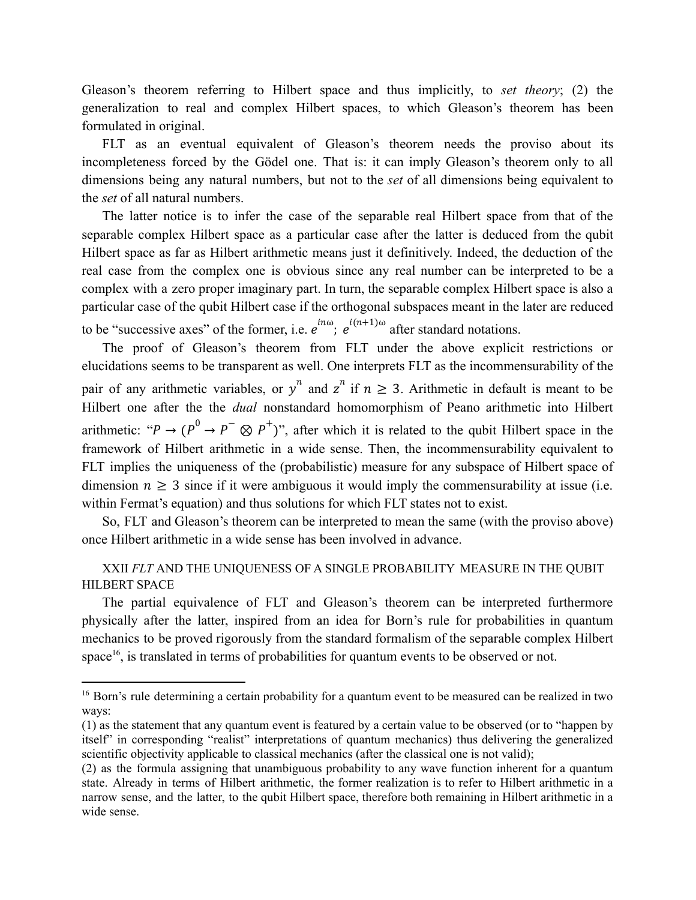Gleason's theorem referring to Hilbert space and thus implicitly, to *set theory*; (2) the generalization to real and complex Hilbert spaces, to which Gleason's theorem has been formulated in original.

FLT as an eventual equivalent of Gleason's theorem needs the proviso about its incompleteness forced by the Gödel one. That is: it can imply Gleason's theorem only to all dimensions being any natural numbers, but not to the *set* of all dimensions being equivalent to the *set* of all natural numbers.

The latter notice is to infer the case of the separable real Hilbert space from that of the separable complex Hilbert space as a particular case after the latter is deduced from the qubit Hilbert space as far as Hilbert arithmetic means just it definitively. Indeed, the deduction of the real case from the complex one is obvious since any real number can be interpreted to be a complex with a zero proper imaginary part. In turn, the separable complex Hilbert space is also a particular case of the qubit Hilbert case if the orthogonal subspaces meant in the later are reduced to be "successive axes" of the former, i.e.  $e^{in\omega}$ ;  $e^{i(n+1)\omega}$  after standard notations.

The proof of Gleason's theorem from FLT under the above explicit restrictions or elucidations seems to be transparent as well. One interprets FLT as the incommensurability of the pair of any arithmetic variables, or  $y^n$  and  $z^n$  if  $n \ge 3$ . Arithmetic in default is meant to be Hilbert one after the the *dual* nonstandard homomorphism of Peano arithmetic into Hilbert arithmetic: " $P \rightarrow (P^0 \rightarrow P^- \otimes P^+)$ ", after which it is related to the qubit Hilbert space in the framework of Hilbert arithmetic in a wide sense. Then, the incommensurability equivalent to FLT implies the uniqueness of the (probabilistic) measure for any subspace of Hilbert space of dimension  $n \geq 3$  since if it were ambiguous it would imply the commensurability at issue (i.e. within Fermat's equation) and thus solutions for which FLT states not to exist.

So, FLT and Gleason's theorem can be interpreted to mean the same (with the proviso above) once Hilbert arithmetic in a wide sense has been involved in advance.

XXII *FLT* AND THE UNIQUENESS OF A SINGLE PROBABILITY MEASURE IN THE QUBIT HILBERT SPACE

The partial equivalence of FLT and Gleason's theorem can be interpreted furthermore physically after the latter, inspired from an idea for Born's rule for probabilities in quantum mechanics to be proved rigorously from the standard formalism of the separable complex Hilbert space<sup>16</sup>, is translated in terms of probabilities for quantum events to be observed or not.

<sup>&</sup>lt;sup>16</sup> Born's rule determining a certain probability for a quantum event to be measured can be realized in two ways:

<sup>(1)</sup> as the statement that any quantum event is featured by a certain value to be observed (or to "happen by itself" in corresponding "realist" interpretations of quantum mechanics) thus delivering the generalized scientific objectivity applicable to classical mechanics (after the classical one is not valid);

<sup>(2)</sup> as the formula assigning that unambiguous probability to any wave function inherent for a quantum state. Already in terms of Hilbert arithmetic, the former realization is to refer to Hilbert arithmetic in a narrow sense, and the latter, to the qubit Hilbert space, therefore both remaining in Hilbert arithmetic in a wide sense.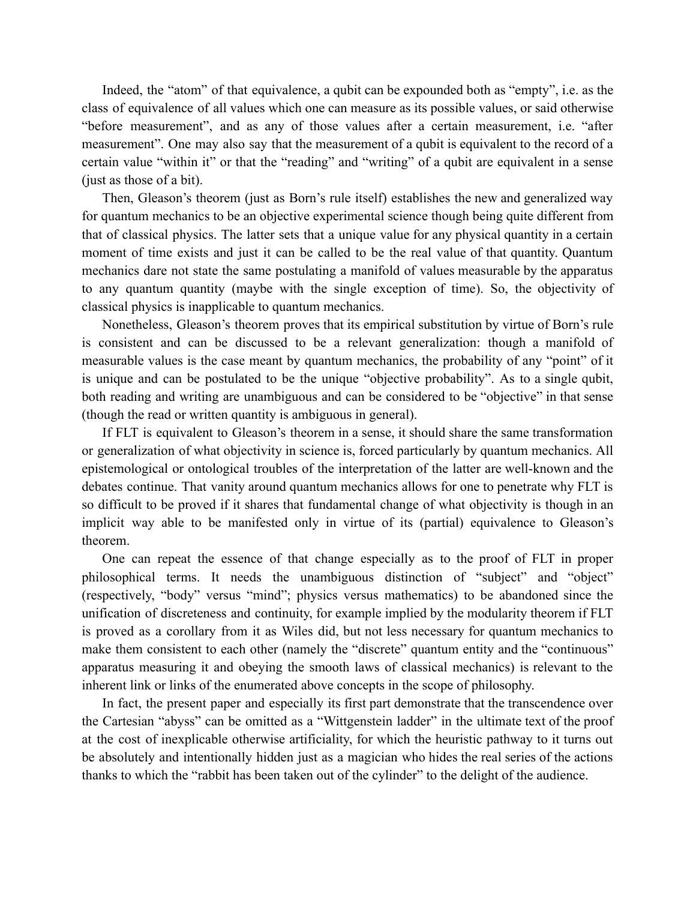Indeed, the "atom" of that equivalence, a qubit can be expounded both as "empty", i.e. as the class of equivalence of all values which one can measure as its possible values, or said otherwise "before measurement", and as any of those values after a certain measurement, i.e. "after measurement". One may also say that the measurement of a qubit is equivalent to the record of a certain value "within it" or that the "reading" and "writing" of a qubit are equivalent in a sense (just as those of a bit).

Then, Gleason's theorem (just as Born's rule itself) establishes the new and generalized way for quantum mechanics to be an objective experimental science though being quite different from that of classical physics. The latter sets that a unique value for any physical quantity in a certain moment of time exists and just it can be called to be the real value of that quantity. Quantum mechanics dare not state the same postulating a manifold of values measurable by the apparatus to any quantum quantity (maybe with the single exception of time). So, the objectivity of classical physics is inapplicable to quantum mechanics.

Nonetheless, Gleason's theorem proves that its empirical substitution by virtue of Born's rule is consistent and can be discussed to be a relevant generalization: though a manifold of measurable values is the case meant by quantum mechanics, the probability of any "point" of it is unique and can be postulated to be the unique "objective probability". As to a single qubit, both reading and writing are unambiguous and can be considered to be "objective" in that sense (though the read or written quantity is ambiguous in general).

If FLT is equivalent to Gleason's theorem in a sense, it should share the same transformation or generalization of what objectivity in science is, forced particularly by quantum mechanics. All epistemological or ontological troubles of the interpretation of the latter are well-known and the debates continue. That vanity around quantum mechanics allows for one to penetrate why FLT is so difficult to be proved if it shares that fundamental change of what objectivity is though in an implicit way able to be manifested only in virtue of its (partial) equivalence to Gleason's theorem.

One can repeat the essence of that change especially as to the proof of FLT in proper philosophical terms. It needs the unambiguous distinction of "subject" and "object" (respectively, "body" versus "mind"; physics versus mathematics) to be abandoned since the unification of discreteness and continuity, for example implied by the modularity theorem if FLT is proved as a corollary from it as Wiles did, but not less necessary for quantum mechanics to make them consistent to each other (namely the "discrete" quantum entity and the "continuous" apparatus measuring it and obeying the smooth laws of classical mechanics) is relevant to the inherent link or links of the enumerated above concepts in the scope of philosophy.

In fact, the present paper and especially its first part demonstrate that the transcendence over the Cartesian "abyss" can be omitted as a "Wittgenstein ladder" in the ultimate text of the proof at the cost of inexplicable otherwise artificiality, for which the heuristic pathway to it turns out be absolutely and intentionally hidden just as a magician who hides the real series of the actions thanks to which the "rabbit has been taken out of the cylinder" to the delight of the audience.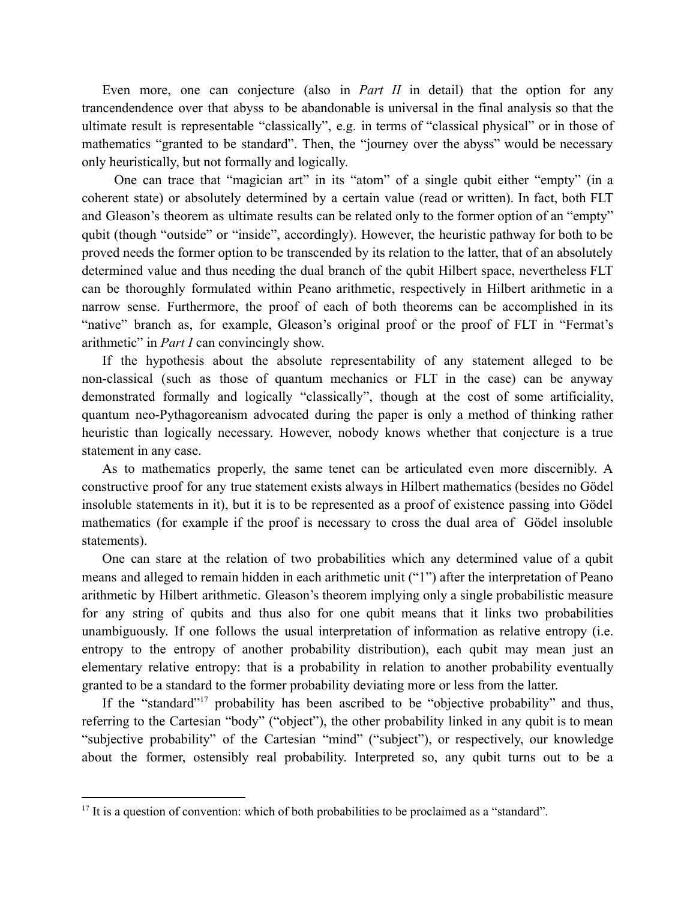Even more, one can conjecture (also in *Part II* in detail) that the option for any trancendendence over that abyss to be abandonable is universal in the final analysis so that the ultimate result is representable "classically", e.g. in terms of "classical physical" or in those of mathematics "granted to be standard". Then, the "journey over the abyss" would be necessary only heuristically, but not formally and logically.

One can trace that "magician art" in its "atom" of a single qubit either "empty" (in a coherent state) or absolutely determined by a certain value (read or written). In fact, both FLT and Gleason's theorem as ultimate results can be related only to the former option of an "empty" qubit (though "outside" or "inside", accordingly). However, the heuristic pathway for both to be proved needs the former option to be transcended by its relation to the latter, that of an absolutely determined value and thus needing the dual branch of the qubit Hilbert space, nevertheless FLT can be thoroughly formulated within Peano arithmetic, respectively in Hilbert arithmetic in a narrow sense. Furthermore, the proof of each of both theorems can be accomplished in its "native" branch as, for example, Gleason's original proof or the proof of FLT in "Fermat's arithmetic" in *Part I* can convincingly show.

If the hypothesis about the absolute representability of any statement alleged to be non-classical (such as those of quantum mechanics or FLT in the case) can be anyway demonstrated formally and logically "classically", though at the cost of some artificiality, quantum neo-Pythagoreanism advocated during the paper is only a method of thinking rather heuristic than logically necessary. However, nobody knows whether that conjecture is a true statement in any case.

As to mathematics properly, the same tenet can be articulated even more discernibly. A constructive proof for any true statement exists always in Hilbert mathematics (besides no Gödel insoluble statements in it), but it is to be represented as a proof of existence passing into Gödel mathematics (for example if the proof is necessary to cross the dual area of Gödel insoluble statements).

One can stare at the relation of two probabilities which any determined value of a qubit means and alleged to remain hidden in each arithmetic unit ("1") after the interpretation of Peano arithmetic by Hilbert arithmetic. Gleason's theorem implying only a single probabilistic measure for any string of qubits and thus also for one qubit means that it links two probabilities unambiguously. If one follows the usual interpretation of information as relative entropy (i.e. entropy to the entropy of another probability distribution), each qubit may mean just an elementary relative entropy: that is a probability in relation to another probability eventually granted to be a standard to the former probability deviating more or less from the latter.

If the "standard"<sup>17</sup> probability has been ascribed to be "objective probability" and thus, referring to the Cartesian "body" ("object"), the other probability linked in any qubit is to mean "subjective probability" of the Cartesian "mind" ("subject"), or respectively, our knowledge about the former, ostensibly real probability. Interpreted so, any qubit turns out to be a

<sup>&</sup>lt;sup>17</sup> It is a question of convention: which of both probabilities to be proclaimed as a "standard".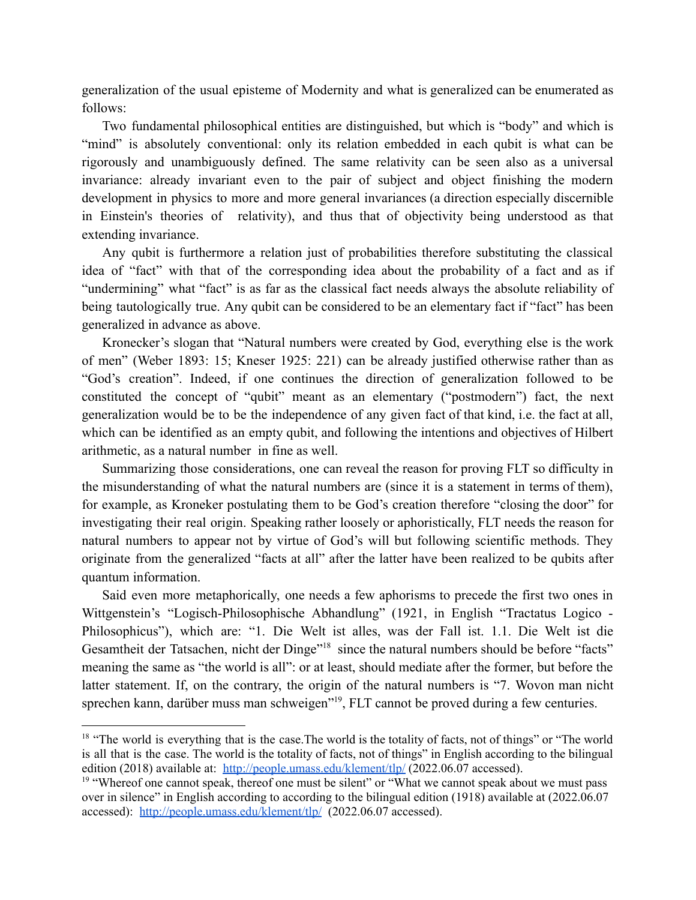generalization of the usual episteme of Modernity and what is generalized can be enumerated as follows:

Two fundamental philosophical entities are distinguished, but which is "body" and which is "mind" is absolutely conventional: only its relation embedded in each qubit is what can be rigorously and unambiguously defined. The same relativity can be seen also as a universal invariance: already invariant even to the pair of subject and object finishing the modern development in physics to more and more general invariances (a direction especially discernible in Einstein's theories of relativity), and thus that of objectivity being understood as that extending invariance.

Any qubit is furthermore a relation just of probabilities therefore substituting the classical idea of "fact" with that of the corresponding idea about the probability of a fact and as if "undermining" what "fact" is as far as the classical fact needs always the absolute reliability of being tautologically true. Any qubit can be considered to be an elementary fact if "fact" has been generalized in advance as above.

Kronecker's slogan that "Natural numbers were created by God, everything else is the work of men" (Weber 1893: 15; Kneser 1925: 221) can be already justified otherwise rather than as "God's creation". Indeed, if one continues the direction of generalization followed to be constituted the concept of "qubit" meant as an elementary ("postmodern") fact, the next generalization would be to be the independence of any given fact of that kind, i.e. the fact at all, which can be identified as an empty qubit, and following the intentions and objectives of Hilbert arithmetic, as a natural number in fine as well.

Summarizing those considerations, one can reveal the reason for proving FLT so difficulty in the misunderstanding of what the natural numbers are (since it is a statement in terms of them), for example, as Kroneker postulating them to be God's creation therefore "closing the door" for investigating their real origin. Speaking rather loosely or aphoristically, FLT needs the reason for natural numbers to appear not by virtue of God's will but following scientific methods. They originate from the generalized "facts at all" after the latter have been realized to be qubits after quantum information.

Said even more metaphorically, one needs a few aphorisms to precede the first two ones in Wittgenstein's "Logisch-Philosophische Abhandlung" (1921, in English "Tractatus Logico - Philosophicus"), which are: "1. Die Welt ist alles, was der Fall ist. 1.1. Die Welt ist die Gesamtheit der Tatsachen, nicht der Dinge"<sup>18</sup> since the natural numbers should be before "facts" meaning the same as "the world is all": or at least, should mediate after the former, but before the latter statement. If, on the contrary, the origin of the natural numbers is "7. Wovon man nicht sprechen kann, darüber muss man schweigen"<sup>19</sup>, FLT cannot be proved during a few centuries.

<sup>&</sup>lt;sup>18</sup> "The world is everything that is the case. The world is the totality of facts, not of things" or "The world is all that is the case. The world is the totality of facts, not of things" in English according to the bilingual edition (2018) available at: <http://people.umass.edu/klement/tlp/> (2022.06.07 accessed).

<sup>&</sup>lt;sup>19</sup> "Whereof one cannot speak, thereof one must be silent" or "What we cannot speak about we must pass over in silence" in English according to according to the bilingual edition (1918) available at (2022.06.07 accessed): <http://people.umass.edu/klement/tlp/> (2022.06.07 accessed).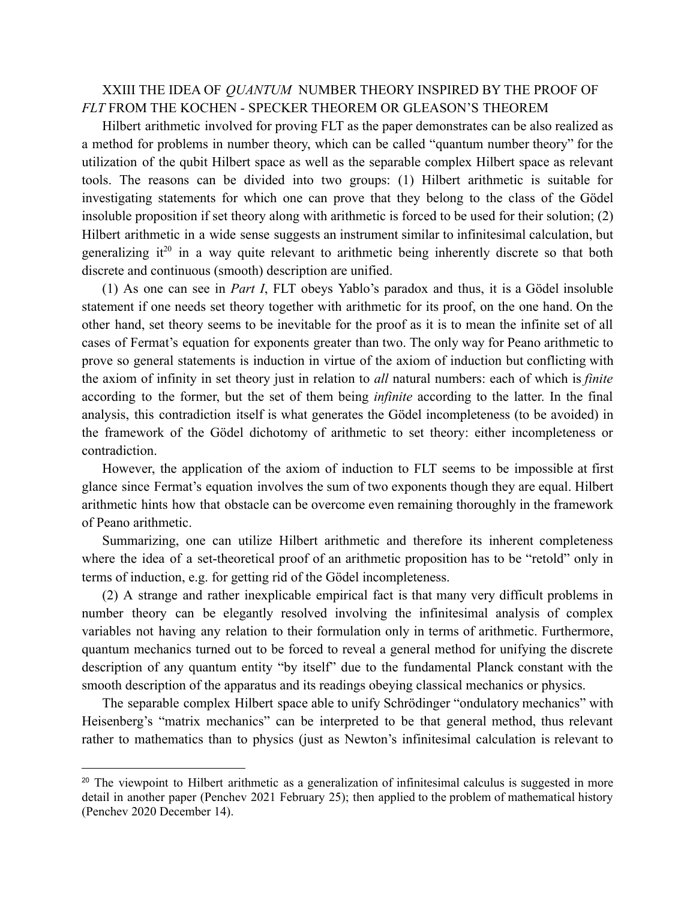## XXIII THE IDEA OF *QUANTUM* NUMBER THEORY INSPIRED BY THE PROOF OF *FLT* FROM THE KOCHEN - SPECKER THEOREM OR GLEASON'S THEOREM

Hilbert arithmetic involved for proving FLT as the paper demonstrates can be also realized as a method for problems in number theory, which can be called "quantum number theory" for the utilization of the qubit Hilbert space as well as the separable complex Hilbert space as relevant tools. The reasons can be divided into two groups: (1) Hilbert arithmetic is suitable for investigating statements for which one can prove that they belong to the class of the Gödel insoluble proposition if set theory along with arithmetic is forced to be used for their solution; (2) Hilbert arithmetic in a wide sense suggests an instrument similar to infinitesimal calculation, but generalizing it<sup>20</sup> in a way quite relevant to arithmetic being inherently discrete so that both discrete and continuous (smooth) description are unified.

(1) As one can see in *Part I*, FLT obeys Yablo's paradox and thus, it is a Gödel insoluble statement if one needs set theory together with arithmetic for its proof, on the one hand. On the other hand, set theory seems to be inevitable for the proof as it is to mean the infinite set of all cases of Fermat's equation for exponents greater than two. The only way for Peano arithmetic to prove so general statements is induction in virtue of the axiom of induction but conflicting with the axiom of infinity in set theory just in relation to *all* natural numbers: each of which is *finite* according to the former, but the set of them being *infinite* according to the latter. In the final analysis, this contradiction itself is what generates the Gödel incompleteness (to be avoided) in the framework of the Gödel dichotomy of arithmetic to set theory: either incompleteness or contradiction.

However, the application of the axiom of induction to FLT seems to be impossible at first glance since Fermat's equation involves the sum of two exponents though they are equal. Hilbert arithmetic hints how that obstacle can be overcome even remaining thoroughly in the framework of Peano arithmetic.

Summarizing, one can utilize Hilbert arithmetic and therefore its inherent completeness where the idea of a set-theoretical proof of an arithmetic proposition has to be "retold" only in terms of induction, e.g. for getting rid of the Gödel incompleteness.

(2) A strange and rather inexplicable empirical fact is that many very difficult problems in number theory can be elegantly resolved involving the infinitesimal analysis of complex variables not having any relation to their formulation only in terms of arithmetic. Furthermore, quantum mechanics turned out to be forced to reveal a general method for unifying the discrete description of any quantum entity "by itself" due to the fundamental Planck constant with the smooth description of the apparatus and its readings obeying classical mechanics or physics.

The separable complex Hilbert space able to unify Schrödinger "ondulatory mechanics" with Heisenberg's "matrix mechanics" can be interpreted to be that general method, thus relevant rather to mathematics than to physics (just as Newton's infinitesimal calculation is relevant to

<sup>&</sup>lt;sup>20</sup> The viewpoint to Hilbert arithmetic as a generalization of infinitesimal calculus is suggested in more detail in another paper (Penchev 2021 February 25); then applied to the problem of mathematical history (Penchev 2020 December 14).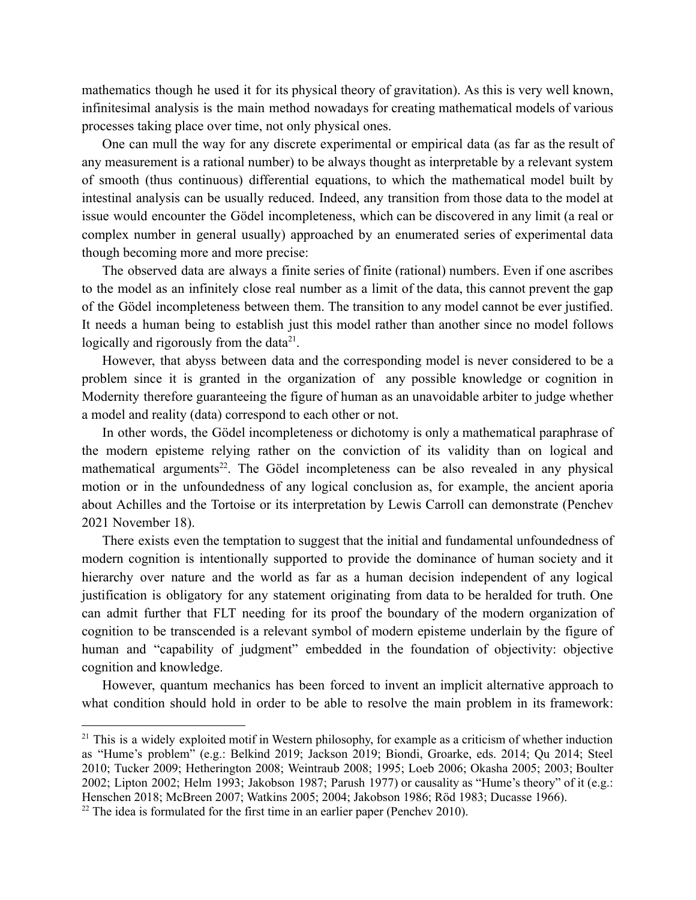mathematics though he used it for its physical theory of gravitation). As this is very well known, infinitesimal analysis is the main method nowadays for creating mathematical models of various processes taking place over time, not only physical ones.

One can mull the way for any discrete experimental or empirical data (as far as the result of any measurement is a rational number) to be always thought as interpretable by a relevant system of smooth (thus continuous) differential equations, to which the mathematical model built by intestinal analysis can be usually reduced. Indeed, any transition from those data to the model at issue would encounter the Gödel incompleteness, which can be discovered in any limit (a real or complex number in general usually) approached by an enumerated series of experimental data though becoming more and more precise:

The observed data are always a finite series of finite (rational) numbers. Even if one ascribes to the model as an infinitely close real number as a limit of the data, this cannot prevent the gap of the Gödel incompleteness between them. The transition to any model cannot be ever justified. It needs a human being to establish just this model rather than another since no model follows logically and rigorously from the data $2<sup>1</sup>$ .

However, that abyss between data and the corresponding model is never considered to be a problem since it is granted in the organization of any possible knowledge or cognition in Modernity therefore guaranteeing the figure of human as an unavoidable arbiter to judge whether a model and reality (data) correspond to each other or not.

In other words, the Gödel incompleteness or dichotomy is only a mathematical paraphrase of the modern episteme relying rather on the conviction of its validity than on logical and mathematical arguments<sup>22</sup>. The Gödel incompleteness can be also revealed in any physical motion or in the unfoundedness of any logical conclusion as, for example, the ancient aporia about Achilles and the Tortoise or its interpretation by Lewis Carroll can demonstrate (Penchev 2021 November 18).

There exists even the temptation to suggest that the initial and fundamental unfoundedness of modern cognition is intentionally supported to provide the dominance of human society and it hierarchy over nature and the world as far as a human decision independent of any logical justification is obligatory for any statement originating from data to be heralded for truth. One can admit further that FLT needing for its proof the boundary of the modern organization of cognition to be transcended is a relevant symbol of modern episteme underlain by the figure of human and "capability of judgment" embedded in the foundation of objectivity: objective cognition and knowledge.

However, quantum mechanics has been forced to invent an implicit alternative approach to what condition should hold in order to be able to resolve the main problem in its framework:

<sup>&</sup>lt;sup>21</sup> This is a widely exploited motif in Western philosophy, for example as a criticism of whether induction as "Hume's problem" (e.g.: Belkind 2019; Jackson 2019; Biondi, Groarke, eds. 2014; Qu 2014; Steel 2010; Tucker 2009; Hetherington 2008; Weintraub 2008; 1995; Loeb 2006; Okasha 2005; 2003; Boulter 2002; Lipton 2002; Helm 1993; Jakobson 1987; Parush 1977) or causality as "Hume's theory" of it (e.g.: Henschen 2018; McBreen 2007; Watkins 2005; 2004; Jakobson 1986; Röd 1983; Ducasse 1966).

 $22$  The idea is formulated for the first time in an earlier paper (Penchev 2010).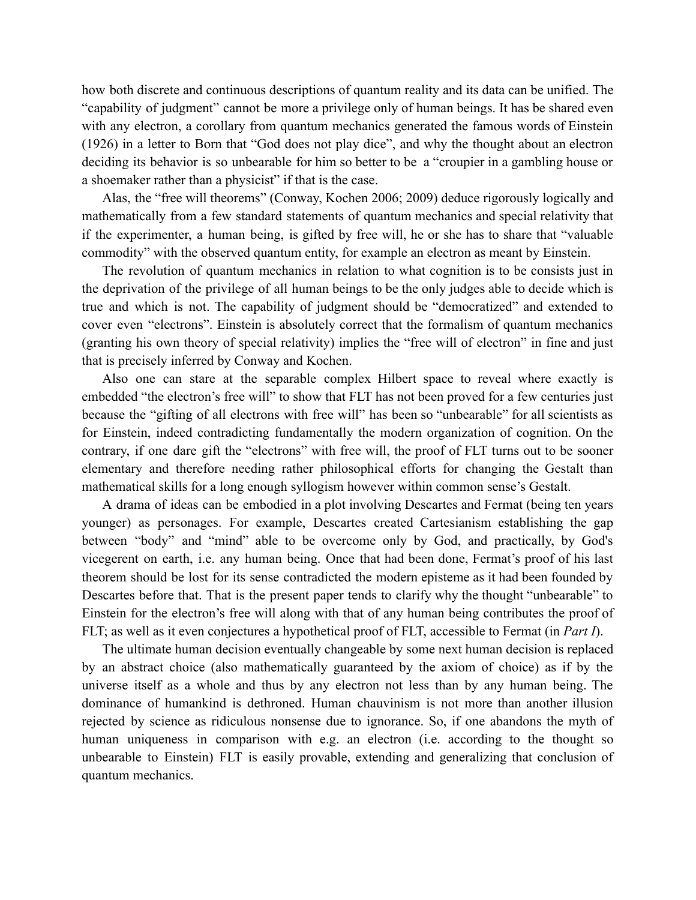how both discrete and continuous descriptions of quantum reality and its data can be unified. The "capability of judgment" cannot be more a privilege only of human beings. It has be shared even with any electron, a corollary from quantum mechanics generated the famous words of Einstein (1926) in a letter to Born that "God does not play dice", and why the thought about an electron deciding its behavior is so unbearable for him so better to be a "croupier in a gambling house or a shoemaker rather than a physicist" if that is the case.

Alas, the "free will theorems" (Conway, Kochen 2006; 2009) deduce rigorously logically and mathematically from a few standard statements of quantum mechanics and special relativity that if the experimenter, a human being, is gifted by free will, he or she has to share that "valuable commodity" with the observed quantum entity, for example an electron as meant by Einstein.

The revolution of quantum mechanics in relation to what cognition is to be consists just in the deprivation of the privilege of all human beings to be the only judges able to decide which is true and which is not. The capability of judgment should be "democratized" and extended to cover even "electrons". Einstein is absolutely correct that the formalism of quantum mechanics (granting his own theory of special relativity) implies the "free will of electron" in fine and just that is precisely inferred by Conway and Kochen.

Also one can stare at the separable complex Hilbert space to reveal where exactly is embedded "the electron's free will" to show that FLT has not been proved for a few centuries just because the "gifting of all electrons with free will" has been so "unbearable" for all scientists as for Einstein, indeed contradicting fundamentally the modern organization of cognition. On the contrary, if one dare gift the "electrons" with free will, the proof of FLT turns out to be sooner elementary and therefore needing rather philosophical efforts for changing the Gestalt than mathematical skills for a long enough syllogism however within common sense's Gestalt.

A drama of ideas can be embodied in a plot involving Descartes and Fermat (being ten years younger) as personages. For example, Descartes created Cartesianism establishing the gap between "body" and "mind" able to be overcome only by God, and practically, by God's vicegerent on earth, i.e. any human being. Once that had been done, Fermat's proof of his last theorem should be lost for its sense contradicted the modern episteme as it had been founded by Descartes before that. That is the present paper tends to clarify why the thought "unbearable" to Einstein for the electron's free will along with that of any human being contributes the proof of FLT; as well as it even conjectures a hypothetical proof of FLT, accessible to Fermat (in *Part I*).

The ultimate human decision eventually changeable by some next human decision is replaced by an abstract choice (also mathematically guaranteed by the axiom of choice) as if by the universe itself as a whole and thus by any electron not less than by any human being. The dominance of humankind is dethroned. Human chauvinism is not more than another illusion rejected by science as ridiculous nonsense due to ignorance. So, if one abandons the myth of human uniqueness in comparison with e.g. an electron (i.e. according to the thought so unbearable to Einstein) FLT is easily provable, extending and generalizing that conclusion of quantum mechanics.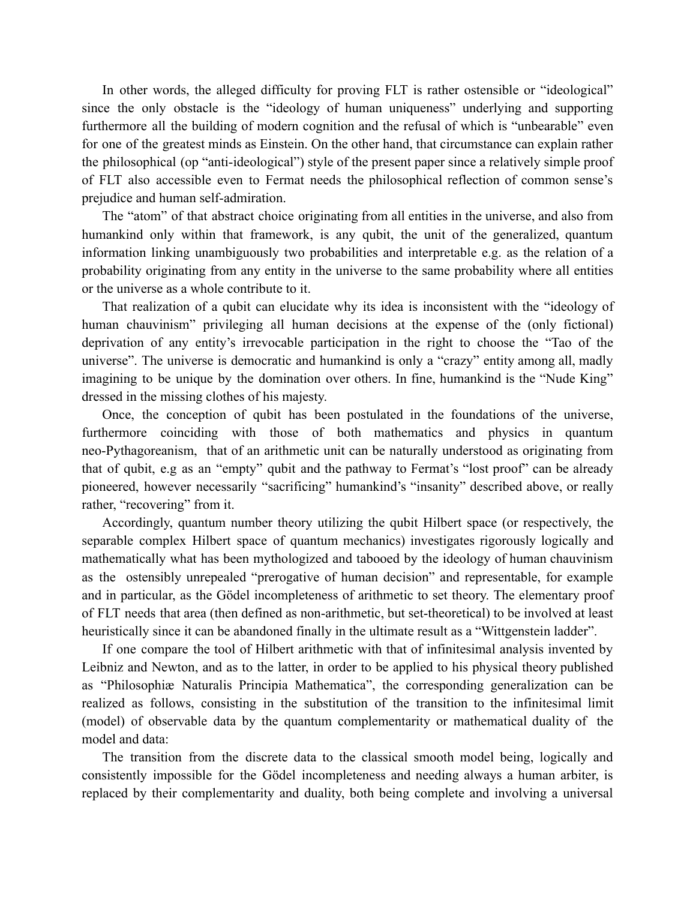In other words, the alleged difficulty for proving FLT is rather ostensible or "ideological" since the only obstacle is the "ideology of human uniqueness" underlying and supporting furthermore all the building of modern cognition and the refusal of which is "unbearable" even for one of the greatest minds as Einstein. On the other hand, that circumstance can explain rather the philosophical (ор "anti-ideological") style of the present paper since a relatively simple proof of FLT also accessible even to Fermat needs the philosophical reflection of common sense's prejudice and human self-admiration.

The "atom" of that abstract choice originating from all entities in the universe, and also from humankind only within that framework, is any qubit, the unit of the generalized, quantum information linking unambiguously two probabilities and interpretable e.g. as the relation of a probability originating from any entity in the universe to the same probability where all entities or the universe as a whole contribute to it.

That realization of a qubit can elucidate why its idea is inconsistent with the "ideology of human chauvinism" privileging all human decisions at the expense of the (only fictional) deprivation of any entity's irrevocable participation in the right to choose the "Tao of the universe". The universe is democratic and humankind is only a "crazy" entity among all, madly imagining to be unique by the domination over others. In fine, humankind is the "Nude King" dressed in the missing clothes of his majesty.

Once, the conception of qubit has been postulated in the foundations of the universe, furthermore coinciding with those of both mathematics and physics in quantum neo-Pythagoreanism, that of an arithmetic unit can be naturally understood as originating from that of qubit, e.g as an "empty" qubit and the pathway to Fermat's "lost proof" can be already pioneered, however necessarily "sacrificing" humankind's "insanity" described above, or really rather, "recovering" from it.

Accordingly, quantum number theory utilizing the qubit Hilbert space (or respectively, the separable complex Hilbert space of quantum mechanics) investigates rigorously logically and mathematically what has been mythologized and tabooed by the ideology of human chauvinism as the ostensibly unrepealed "prerogative of human decision" and representable, for example and in particular, as the Gödel incompleteness of arithmetic to set theory. The elementary proof of FLT needs that area (then defined as non-arithmetic, but set-theoretical) to be involved at least heuristically since it can be abandoned finally in the ultimate result as a "Wittgenstein ladder".

If one compare the tool of Hilbert arithmetic with that of infinitesimal analysis invented by Leibniz and Newton, and as to the latter, in order to be applied to his physical theory published as "Philosophiæ Naturalis Principia Mathematica", the corresponding generalization can be realized as follows, consisting in the substitution of the transition to the infinitesimal limit (model) of observable data by the quantum complementarity or mathematical duality of the model and data:

The transition from the discrete data to the classical smooth model being, logically and consistently impossible for the Gödel incompleteness and needing always a human arbiter, is replaced by their complementarity and duality, both being complete and involving a universal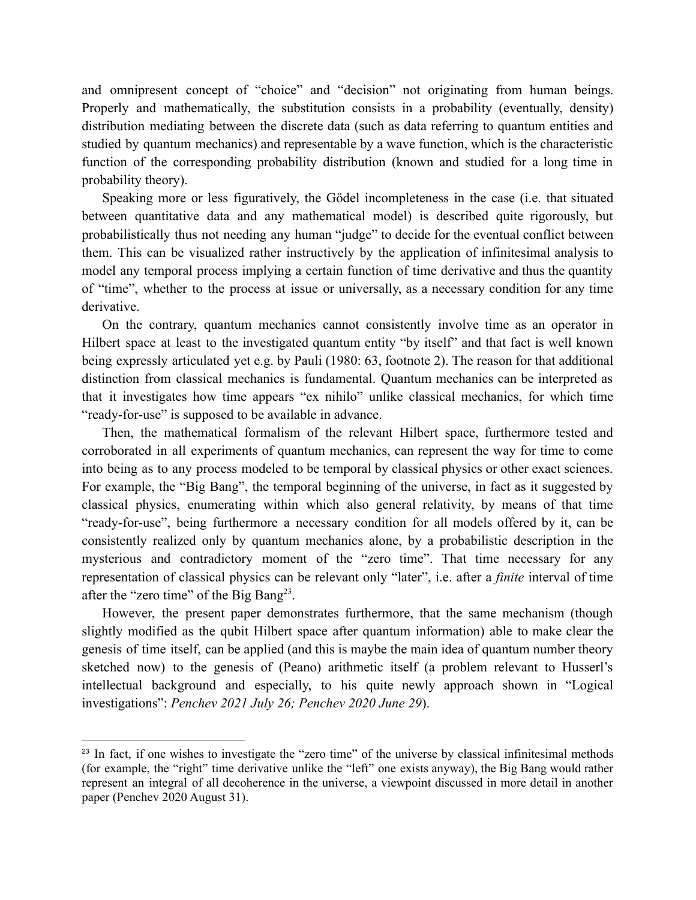and omnipresent concept of "choice" and "decision" not originating from human beings. Properly and mathematically, the substitution consists in a probability (eventually, density) distribution mediating between the discrete data (such as data referring to quantum entities and studied by quantum mechanics) and representable by a wave function, which is the characteristic function of the corresponding probability distribution (known and studied for a long time in probability theory).

Speaking more or less figuratively, the Gödel incompleteness in the case (i.e. that situated between quantitative data and any mathematical model) is described quite rigorously, but probabilistically thus not needing any human "judge" to decide for the eventual conflict between them. This can be visualized rather instructively by the application of infinitesimal analysis to model any temporal process implying a certain function of time derivative and thus the quantity of "time", whether to the process at issue or universally, as a necessary condition for any time derivative.

On the contrary, quantum mechanics cannot consistently involve time as an operator in Hilbert space at least to the investigated quantum entity "by itself" and that fact is well known being expressly articulated yet e.g. by Pauli (1980: 63, footnote 2). The reason for that additional distinction from classical mechanics is fundamental. Quantum mechanics can be interpreted as that it investigates how time appears "ex nihilo" unlike classical mechanics, for which time "ready-for-use" is supposed to be available in advance.

Then, the mathematical formalism of the relevant Hilbert space, furthermore tested and corroborated in all experiments of quantum mechanics, can represent the way for time to come into being as to any process modeled to be temporal by classical physics or other exact sciences. For example, the "Big Bang", the temporal beginning of the universe, in fact as it suggested by classical physics, enumerating within which also general relativity, by means of that time "ready-for-use", being furthermore a necessary condition for all models offered by it, can be consistently realized only by quantum mechanics alone, by a probabilistic description in the mysterious and contradictory moment of the "zero time". That time necessary for any representation of classical physics can be relevant only "later", i.e. after a *finite* interval of time after the "zero time" of the Big Bang<sup>23</sup>.

However, the present paper demonstrates furthermore, that the same mechanism (though slightly modified as the qubit Hilbert space after quantum information) able to make clear the genesis of time itself, can be applied (and this is maybe the main idea of quantum number theory sketched now) to the genesis of (Peano) arithmetic itself (a problem relevant to Husserl's intellectual background and especially, to his quite newly approach shown in "Logical investigations": *Penchev 2021 July 26; Penchev 2020 June 29*).

<sup>&</sup>lt;sup>23</sup> In fact, if one wishes to investigate the "zero time" of the universe by classical infinitesimal methods (for example, the "right" time derivative unlike the "left" one exists anyway), the Big Bang would rather represent an integral of all decoherence in the universe, a viewpoint discussed in more detail in another paper (Penchev 2020 August 31).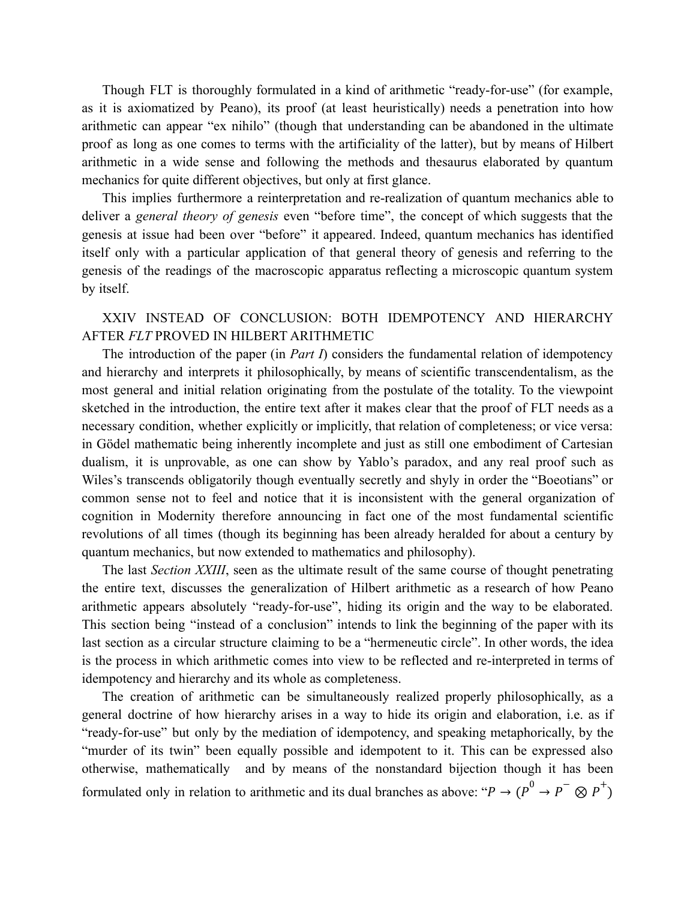Though FLT is thoroughly formulated in a kind of arithmetic "ready-for-use" (for example, as it is axiomatized by Peano), its proof (at least heuristically) needs a penetration into how arithmetic can appear "ex nihilo" (though that understanding can be abandoned in the ultimate proof as long as one comes to terms with the artificiality of the latter), but by means of Hilbert arithmetic in a wide sense and following the methods and thesaurus elaborated by quantum mechanics for quite different objectives, but only at first glance.

This implies furthermore a reinterpretation and re-realization of quantum mechanics able to deliver a *general theory of genesis* even "before time", the concept of which suggests that the genesis at issue had been over "before" it appeared. Indeed, quantum mechanics has identified itself only with a particular application of that general theory of genesis and referring to the genesis of the readings of the macroscopic apparatus reflecting a microscopic quantum system by itself.

XXIV INSTEAD OF CONCLUSION: BOTH IDEMPOTENCY AND HIERARCHY AFTER *FLT* PROVED IN HILBERT ARITHMETIC

The introduction of the paper (in *Part I*) considers the fundamental relation of idempotency and hierarchy and interprets it philosophically, by means of scientific transcendentalism, as the most general and initial relation originating from the postulate of the totality. To the viewpoint sketched in the introduction, the entire text after it makes clear that the proof of FLT needs as a necessary condition, whether explicitly or implicitly, that relation of completeness; or vice versa: in Gödel mathematic being inherently incomplete and just as still one embodiment of Cartesian dualism, it is unprovable, as one can show by Yablo's paradox, and any real proof such as Wiles's transcends obligatorily though eventually secretly and shyly in order the "Boeotians" or common sense not to feel and notice that it is inconsistent with the general organization of cognition in Modernity therefore announcing in fact one of the most fundamental scientific revolutions of all times (though its beginning has been already heralded for about a century by quantum mechanics, but now extended to mathematics and philosophy).

The last *Section XXIII*, seen as the ultimate result of the same course of thought penetrating the entire text, discusses the generalization of Hilbert arithmetic as a research of how Peano arithmetic appears absolutely "ready-for-use", hiding its origin and the way to be elaborated. This section being "instead of a conclusion" intends to link the beginning of the paper with its last section as a circular structure claiming to be a "hermeneutic circle". In other words, the idea is the process in which arithmetic comes into view to be reflected and re-interpreted in terms of idempotency and hierarchy and its whole as completeness.

The creation of arithmetic can be simultaneously realized properly philosophically, as a general doctrine of how hierarchy arises in a way to hide its origin and elaboration, i.e. as if "ready-for-use" but only by the mediation of idempotency, and speaking metaphorically, by the "murder of its twin" been equally possible and idempotent to it. This can be expressed also otherwise, mathematically and by means of the nonstandard bijection though it has been formulated only in relation to arithmetic and its dual branches as above: " $P \to (P^0 \to P^- \otimes P^+)$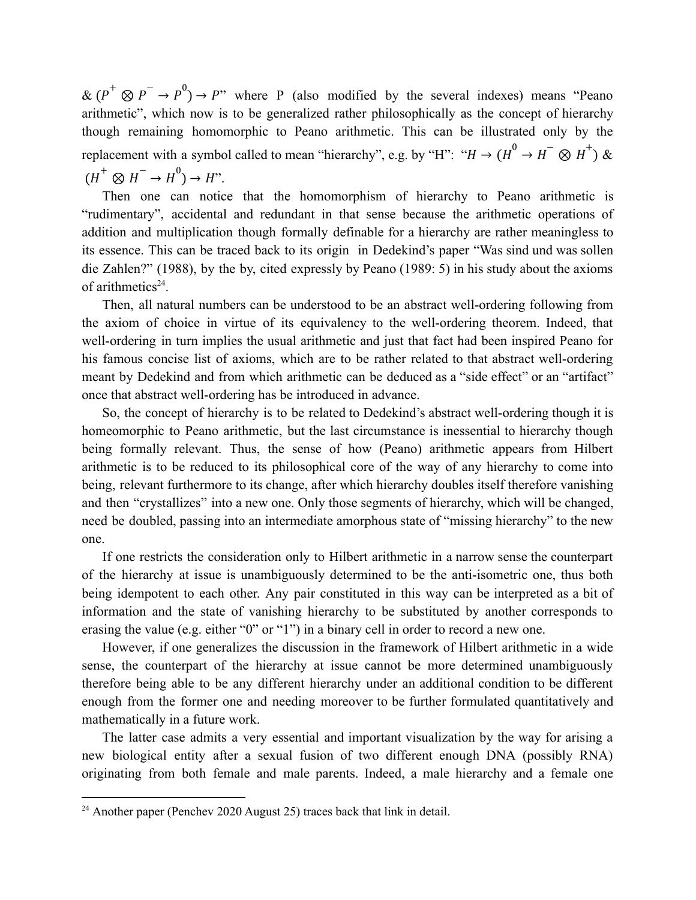$\& (P^+ \otimes P^- \rightarrow P^0) \rightarrow P$ " where P (also modified by the several indexes) means "Peano arithmetic", which now is to be generalized rather philosophically as the concept of hierarchy though remaining homomorphic to Peano arithmetic. This can be illustrated only by the replacement with a symbol called to mean "hierarchy", e.g. by "H": " $H \rightarrow (H^0 \rightarrow H^- \otimes H^+)$  &  $(H^+ \otimes H^- \to H^0) \to H^{\prime\prime}.$ 

Then one can notice that the homomorphism of hierarchy to Peano arithmetic is "rudimentary", accidental and redundant in that sense because the arithmetic operations of addition and multiplication though formally definable for a hierarchy are rather meaningless to its essence. This can be traced back to its origin in Dedekind's paper "Was sind und was sollen die Zahlen?" (1988), by the by, cited expressly by Peano (1989: 5) in his study about the axioms of arithmetics $24$ .

Then, all natural numbers can be understood to be an abstract well-ordering following from the axiom of choice in virtue of its equivalency to the well-ordering theorem. Indeed, that well-ordering in turn implies the usual arithmetic and just that fact had been inspired Peano for his famous concise list of axioms, which are to be rather related to that abstract well-ordering meant by Dedekind and from which arithmetic can be deduced as a "side effect" or an "artifact" once that abstract well-ordering has be introduced in advance.

So, the concept of hierarchy is to be related to Dedekind's abstract well-ordering though it is homeomorphic to Peano arithmetic, but the last circumstance is inessential to hierarchy though being formally relevant. Thus, the sense of how (Peano) arithmetic appears from Hilbert arithmetic is to be reduced to its philosophical core of the way of any hierarchy to come into being, relevant furthermore to its change, after which hierarchy doubles itself therefore vanishing and then "crystallizes" into a new one. Only those segments of hierarchy, which will be changed, need be doubled, passing into an intermediate amorphous state of "missing hierarchy" to the new one.

If one restricts the consideration only to Hilbert arithmetic in a narrow sense the counterpart of the hierarchy at issue is unambiguously determined to be the anti-isometric one, thus both being idempotent to each other. Any pair constituted in this way can be interpreted as a bit of information and the state of vanishing hierarchy to be substituted by another corresponds to erasing the value (e.g. either "0" or "1") in a binary cell in order to record a new one.

However, if one generalizes the discussion in the framework of Hilbert arithmetic in a wide sense, the counterpart of the hierarchy at issue cannot be more determined unambiguously therefore being able to be any different hierarchy under an additional condition to be different enough from the former one and needing moreover to be further formulated quantitatively and mathematically in a future work.

The latter case admits a very essential and important visualization by the way for arising a new biological entity after a sexual fusion of two different enough DNA (possibly RNA) originating from both female and male parents. Indeed, a male hierarchy and a female one

 $24$  Another paper (Penchev 2020 August 25) traces back that link in detail.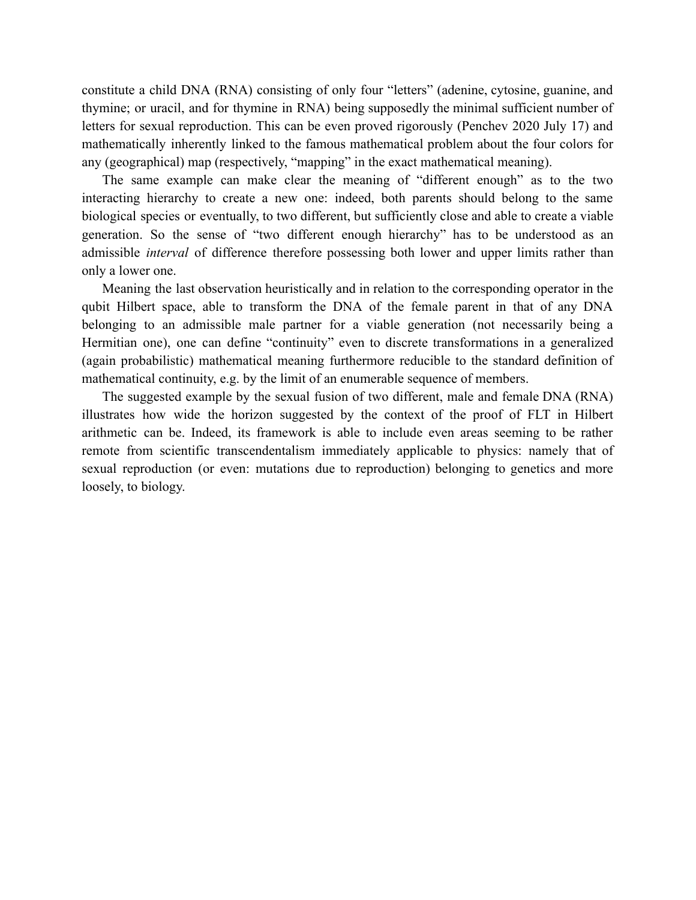constitute a child DNA (RNA) consisting of only four "letters" (adenine, cytosine, guanine, and thymine; or uracil, and for thymine in RNA) being supposedly the minimal sufficient number of letters for sexual reproduction. This can be even proved rigorously (Penchev 2020 July 17) and mathematically inherently linked to the famous mathematical problem about the four colors for any (geographical) map (respectively, "mapping" in the exact mathematical meaning).

The same example can make clear the meaning of "different enough" as to the two interacting hierarchy to create a new one: indeed, both parents should belong to the same biological species or eventually, to two different, but sufficiently close and able to create a viable generation. So the sense of "two different enough hierarchy" has to be understood as an admissible *interval* of difference therefore possessing both lower and upper limits rather than only a lower one.

Meaning the last observation heuristically and in relation to the corresponding operator in the qubit Hilbert space, able to transform the DNA of the female parent in that of any DNA belonging to an admissible male partner for a viable generation (not necessarily being a Hermitian one), one can define "continuity" even to discrete transformations in a generalized (again probabilistic) mathematical meaning furthermore reducible to the standard definition of mathematical continuity, e.g. by the limit of an enumerable sequence of members.

The suggested example by the sexual fusion of two different, male and female DNA (RNA) illustrates how wide the horizon suggested by the context of the proof of FLT in Hilbert arithmetic can be. Indeed, its framework is able to include even areas seeming to be rather remote from scientific transcendentalism immediately applicable to physics: namely that of sexual reproduction (or even: mutations due to reproduction) belonging to genetics and more loosely, to biology.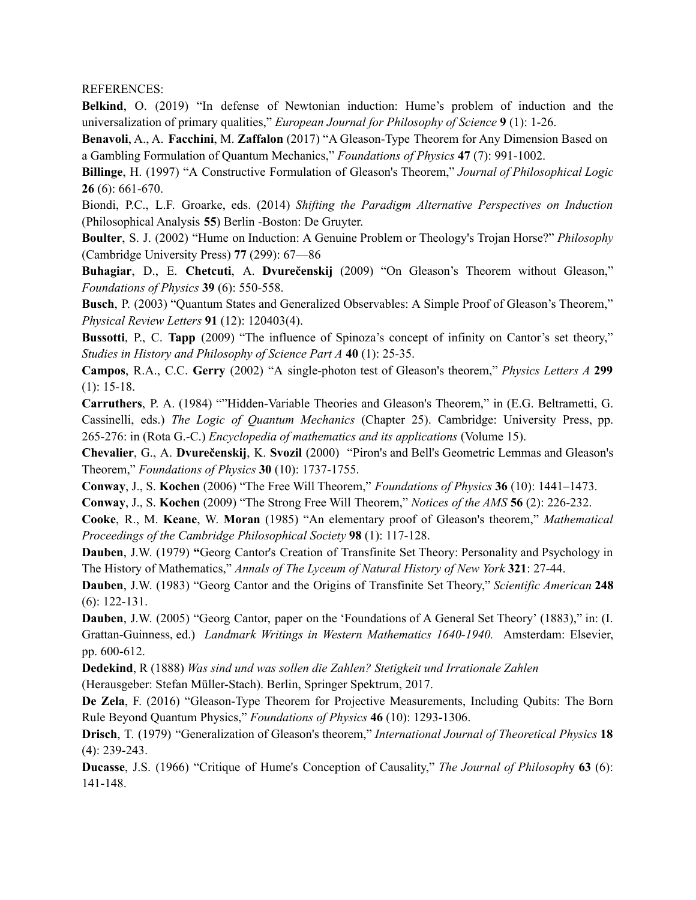REFERENCES:

**Belkind**, O. (2019) "In defense of Newtonian induction: Hume's problem of induction and the universalization of primary qualities," *European Journal for Philosophy of Science* **9** (1): 1-26.

**Benavoli**, A., A. **Facchini**, M. **Zaffalon** (2017) "A Gleason-Type Theorem for Any Dimension Based on a Gambling Formulation of Quantum Mechanics," *Foundations of Physics* **47** (7): 991-1002.

**Billinge**, H. (1997) "A Constructive Formulation of Gleason's Theorem," *Journal of Philosophical Logic* **26** (6): 661-670.

Biondi, P.C., L.F. Groarke, eds. (2014) *Shifting the Paradigm Alternative Perspectives on Induction* (Philosophical Analysis **55**) Berlin -Boston: De Gruyter.

**Boulter**, S. J. (2002) "Hume on Induction: A Genuine Problem or Theology's Trojan Horse?" *Philosophy* (Cambridge University Press) **77** (299): 67—86

**Buhagiar**, D., E. **Chetcuti**, A. **Dvurečenskij** (2009) "On Gleason's Theorem without Gleason," *Foundations of Physics* **39** (6): 550-558.

**Busch**, P. (2003) "Quantum States and Generalized Observables: A Simple Proof of Gleason's Theorem," *Physical Review Letters* **91** (12): 120403(4).

**Bussotti**, P., C. **Tapp** (2009) "The influence of Spinoza's concept of infinity on Cantor's set theory," *Studies in History and Philosophy of Science Part A* **40** (1): 25-35.

**Campos**, R.A., C.C. **Gerry** (2002) "A single-photon test of Gleason's theorem," *Physics Letters A* **299** (1): 15-18.

**Carruthers**, P. A. (1984) ""Hidden-Variable Theories and Gleason's Theorem," in (E.G. Beltrametti, G. Cassinelli, eds.) *The Logic of Quantum Mechanics* (Chapter 25). Cambridge: University Press, pp. 265-276: in (Rota G.-C.) *Encyclopedia of mathematics and its applications* (Volume 15).

**Chevalier**, G., A. **Dvurečenskij**, K. **Svozil** (2000) "Piron's and Bell's Geometric Lemmas and Gleason's Theorem," *Foundations of Physics* **30** (10): 1737-1755.

**Conway**, J., S. **Kochen** (2006) "The Free Will Theorem," *Foundations of Physics* **36** (10): 1441–1473.

**Conway**, J., S. **Kochen** (2009) "The Strong Free Will Theorem," *Notices of the AMS* **56** (2): 226-232.

**Cooke**, R., M. **Keane**, W. **Moran** (1985) "An elementary proof of Gleason's theorem," *Mathematical Proceedings of the Cambridge Philosophical Society* **98** (1): 117-128.

**Dauben**, J.W. (1979) **"**Georg Cantor's Creation of Transfinite Set Theory: Personality and Psychology in The History of Mathematics," *Annals of The Lyceum of Natural History of New York* **321**: 27-44.

**Dauben**, J.W. (1983) "Georg Cantor and the Origins of Transfinite Set Theory," *Scientific American* **248** (6): 122-131.

**Dauben**, J.W. (2005) "Georg Cantor, paper on the 'Foundations of A General Set Theory' (1883)," in: (I. Grattan-Guinness, ed.) *Landmark Writings in Western Mathematics 1640-1940.* Amsterdam: Elsevier, pp. 600-612.

**Dedekind**, R (1888) *Was sind und was sollen die Zahlen? Stetigkeit und Irrationale Zahlen* (Herausgeber: Stefan Müller-Stach). Berlin, Springer Spektrum, 2017.

**De Zela**, F. (2016) "Gleason-Type Theorem for Projective Measurements, Including Qubits: The Born Rule Beyond Quantum Physics," *Foundations of Physics* **46** (10): 1293-1306.

**Drisch**, T. (1979) "Generalization of Gleason's theorem," *International Journal of Theoretical Physics* **18** (4): 239-243.

**Ducasse**, J.S. (1966) "Critique of Hume's Conception of Causality," *The Journal of Philosoph*y **63** (6): 141-148.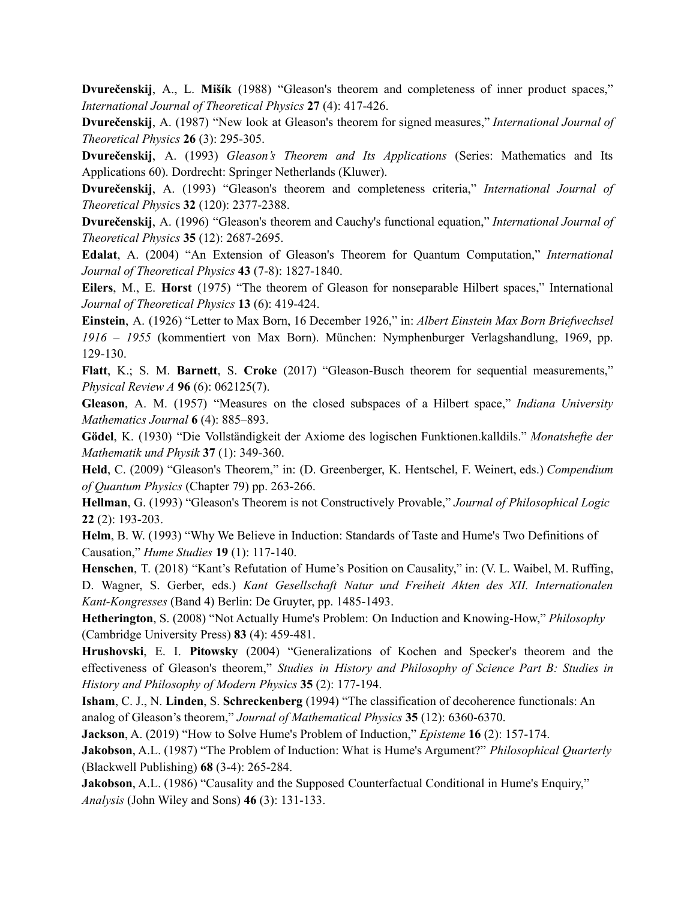**Dvurečenskij**, A., L. **Mišík** (1988) "Gleason's theorem and completeness of inner product spaces," *International Journal of Theoretical Physics* **27** (4): 417-426.

**Dvurečenskij**, A. (1987) "New look at Gleason's theorem for signed measures," *International Journal of Theoretical Physics* **26** (3): 295-305.

**Dvurečenskij**, A. (1993) *Gleason's Theorem and Its Applications* (Series: Mathematics and Its Applications 60). Dordrecht: Springer Netherlands (Kluwer).

**Dvurečenskij**, A. (1993) "Gleason's theorem and completeness criteria," *International Journal of Theoretical Physic*s **32** (120): 2377-2388.

**Dvurečenskij**, A. (1996) "Gleason's theorem and Cauchy's functional equation," *International Journal of Theoretical Physics* **35** (12): 2687-2695.

**Edalat**, A. (2004) "An Extension of Gleason's Theorem for Quantum Computation," *International Journal of Theoretical Physics* **43** (7-8): 1827-1840.

**Eilers**, M., E. **Horst** (1975) "The theorem of Gleason for nonseparable Hilbert spaces," International *Journal of Theoretical Physics* **13** (6): 419-424.

**Einstein**, A. (1926) "Letter to Max Born, 16 December 1926," in: *Albert Einstein Max Born Briefwechsel 1916 – 1955* (kommentiert von Max Born). München: Nymphenburger Verlagshandlung, 1969, pp. 129-130.

**Flatt**, K.; S. M. **Barnett**, S. **Croke** (2017) "Gleason-Busch theorem for sequential measurements," *Physical Review A* **96** (6): 062125(7).

**Gleason**, A. M. (1957) "Measures on the closed subspaces of a Hilbert space," *Indiana University Mathematics Journal* **6** (4): 885–893.

**Gödel**, K. (1930) "Die Vollständigkeit der Axiome des logischen Funktionen.kalldils." *Monatshefte der Mathematik und Physik* **37** (1): 349-360.

**Held**, C. (2009) "Gleason's Theorem," in: (D. Greenberger, K. Hentschel, F. Weinert, eds.) *Compendium of Quantum Physics* (Chapter 79) pp. 263-266.

**Hellman**, G. (1993) "Gleason's Theorem is not Constructively Provable," *Journal of Philosophical Logic* **22** (2): 193-203.

**Helm**, B. W. (1993) "Why We Believe in Induction: Standards of Taste and Hume's Two Definitions of Causation," *Hume Studies* **19** (1): 117-140.

**Henschen**, T. (2018) "Kant's Refutation of Hume's Position on Causality," in: (V. L. Waibel, M. Ruffing, D. Wagner, S. Gerber, eds.) *Kant Gesellschaft Natur und Freiheit Akten des XII. Internationalen Kant-Kongresses* (Band 4) Berlin: De Gruyter, pp. 1485-1493.

**Hetherington**, S. (2008) "Not Actually Hume's Problem: On Induction and Knowing-How," *Philosophy* (Cambridge University Press) **83** (4): 459-481.

**Hrushovski**, E. I. **Pitowsky** (2004) "Generalizations of Kochen and Specker's theorem and the effectiveness of Gleason's theorem," *Studies in History and Philosophy of Science Part B: Studies in History and Philosophy of Modern Physics* **35** (2): 177-194.

**Isham**, C. J., N. **Linden**, S. **Schreckenberg** (1994) "The classification of decoherence functionals: An analog of Gleason's theorem," *Journal of Mathematical Physics* **35** (12): 6360-6370.

**Jackson**, A. (2019) "How to Solve Hume's Problem of Induction," *Episteme* **16** (2): 157-174.

**Jakobson**, A.L. (1987) "The Problem of Induction: What is Hume's Argument?" *Philosophical Quarterly* (Blackwell Publishing) **68** (3-4): 265-284.

**Jakobson**, A.L. (1986) "Causality and the Supposed Counterfactual Conditional in Hume's Enquiry," *Analysis* (John Wiley and Sons) **46** (3): 131-133.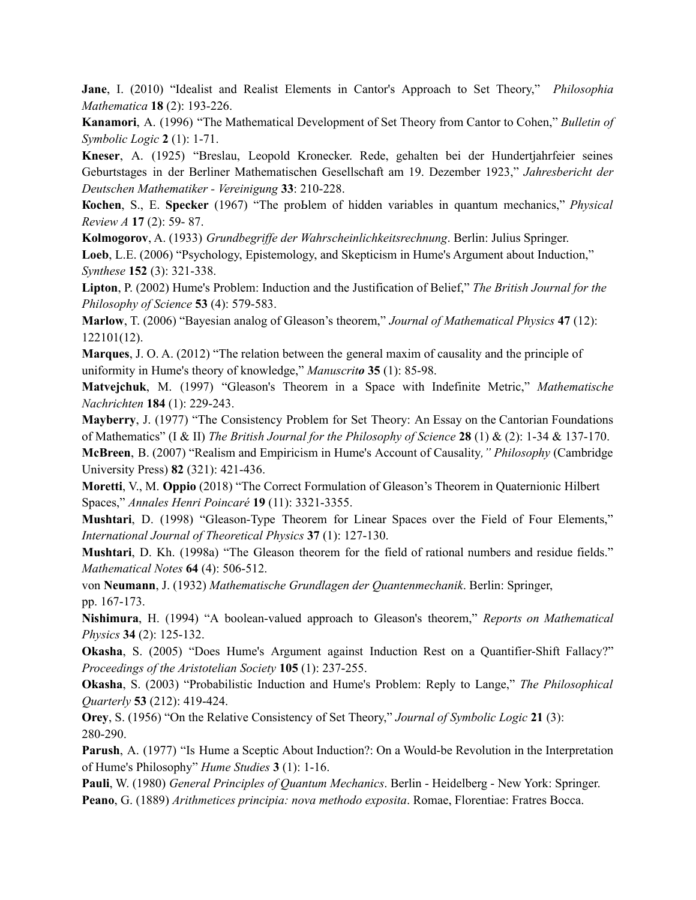**Jane**, I. (2010) "Idealist and Realist Elements in Cantor's Approach to Set Theory," *Philosophia Mathematica* **18** (2): 193-226.

**Kanamori**, A. (1996) "The Mathematical Development of Set Theory from Cantor to Cohen," *Bulletin of Symbolic Logic* **2** (1): 1-71.

**Kneser**, A. (1925) "Breslau, Leopold Kronecker. Rede, gehalten bei der Hundertjahrfeier seines Geburtstages in der Berliner Mathematischen Gesellschaft am 19. Dezember 1923," *Jahresbericht der Deutschen Mathematiker - Vereinigung* **33**: 210-228.

**Косhеn**, S., Е. **Sресkеr** (1967) "The proЬlem of hidden variables in quantum mechanics," *Physical Review А* **17** (2): 59- 87.

Kolmogorov, A. (1933) *Grundbegriffe der Wahrscheinlichkeitsrechnung*. Berlin: Julius Springer.

**Loeb**, L.E. (2006) "Psychology, Epistemology, and Skepticism in Hume's Argument about Induction," *Synthese* **152** (3): 321-338.

**Lipton**, P. (2002) Hume's Problem: Induction and the Justification of Belief," *The British Journal for the Philosophy of Science* **53** (4): 579-583.

**Marlow**, T. (2006) "Bayesian analog of Gleason's theorem," *Journal of Mathematical Physics* **47** (12): 122101(12).

**Marques**, J. O. A. (2012) "The relation between the general maxim of causality and the principle of uniformity in Hume's theory of knowledge," *Manuscrito* **35** (1): 85-98.

**Matvejchuk**, M. (1997) "Gleason's Theorem in a Space with Indefinite Metric," *Mathematische Nachrichten* **184** (1): 229-243.

**Mayberry**, J. (1977) "The Consistency Problem for Set Theory: An Essay on the Cantorian Foundations of Mathematics" (I & II) *The British Journal for the Philosophy of Science* **28** (1) & (2): 1-34 & 137-170.

**McBreen**, B. (2007) "Realism and Empiricism in Hume's Account of Causality*," Philosophy* (Cambridge University Press) **82** (321): 421-436.

**Moretti**, V., M. **Oppio** (2018) "The Correct Formulation of Gleason's Theorem in Quaternionic Hilbert Spaces," *Annales Henri Poincaré* **19** (11): 3321-3355.

**Mushtari**, D. (1998) "Gleason-Type Theorem for Linear Spaces over the Field of Four Elements," *International Journal of Theoretical Physics* **37** (1): 127-130.

**Mushtari**, D. Kh. (1998a) "The Gleason theorem for the field of rational numbers and residue fields." *Mathematical Notes* **64** (4): 506-512.

von **Neumann**, J. (1932) *Mathematische Grundlagen der Quantenmechanik*. Berlin: Springer, pp. 167-173.

**Nishimura**, H. (1994) "A boolean-valued approach to Gleason's theorem," *Reports on Mathematical Physics* **34** (2): 125-132.

**Okasha**, S. (2005) "Does Hume's Argument against Induction Rest on a Quantifier-Shift Fallacy?" *Proceedings of the Aristotelian Society* **105** (1): 237-255.

**Okasha**, S. (2003) "Probabilistic Induction and Hume's Problem: Reply to Lange," *The Philosophical Quarterly* **53** (212): 419-424.

**Orey**, S. (1956) "On the Relative Consistency of Set Theory," *Journal of Symbolic Logic* **21** (3): 280-290.

**Parush**, A. (1977) "Is Hume a Sceptic About Induction?: On a Would-be Revolution in the Interpretation of Hume's Philosophy" *Hume Studies* **3** (1): 1-16.

**Pauli**, W. (1980) *General Principles of Quantum Mechanics*. Berlin - Heidelberg - New York: Springer.

**Peano**, G. (1889) *Arithmetices principia: nova methodo exposita*. Romae, Florentiae: Fratres Bocca.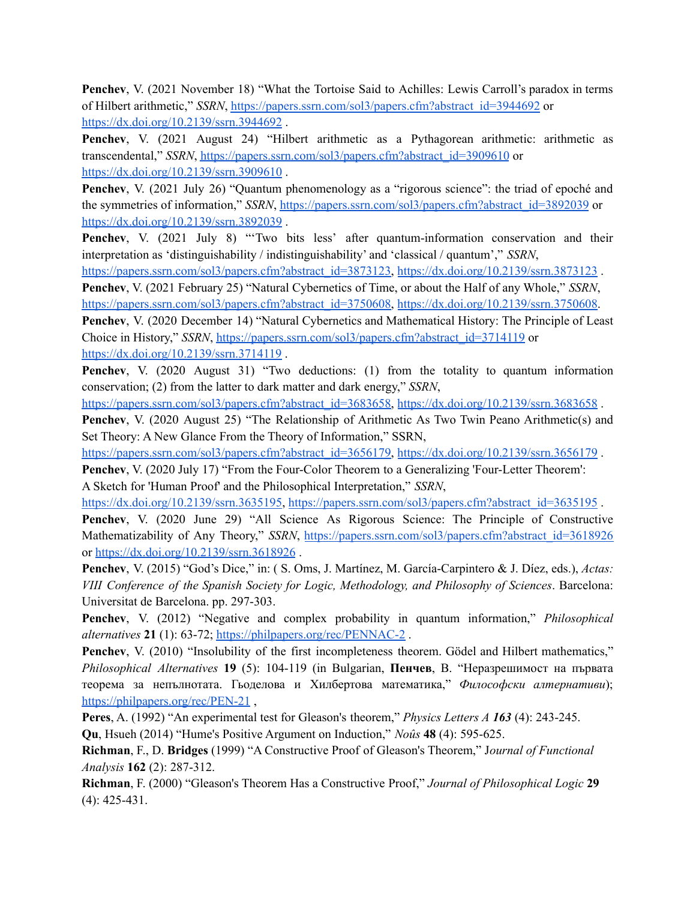**Penchev**, V. (2021 November 18) "What the Tortoise Said to Achilles: Lewis Carroll's paradox in terms of Hilbert arithmetic," *SSRN*, [https://papers.ssrn.com/sol3/papers.cfm?abstract\\_id=3944692](https://papers.ssrn.com/sol3/papers.cfm?abstract_id=3944692) or <https://dx.doi.org/10.2139/ssrn.3944692> .

**Penchev**, V. (2021 August 24) "Hilbert arithmetic as a Pythagorean arithmetic: arithmetic as transcendental," *SSRN*, [https://papers.ssrn.com/sol3/papers.cfm?abstract\\_id=3909610](https://papers.ssrn.com/sol3/papers.cfm?abstract_id=3909610) or <https://dx.doi.org/10.2139/ssrn.3909610> .

**Penchev**, V. (2021 July 26) "Quantum phenomenology as a "rigorous science": the triad of epoché and the symmetries of information," *SSRN*, [https://papers.ssrn.com/sol3/papers.cfm?abstract\\_id=3892039](https://papers.ssrn.com/sol3/papers.cfm?abstract_id=3892039) or <https://dx.doi.org/10.2139/ssrn.3892039> .

**Penchev**, V. (2021 July 8) "Two bits less' after quantum-information conservation and their interpretation as 'distinguishability / indistinguishability' and 'classical / quantum'," *SSRN*,

[https://papers.ssrn.com/sol3/papers.cfm?abstract\\_id=3873123](https://papers.ssrn.com/sol3/papers.cfm?abstract_id=3873123), <https://dx.doi.org/10.2139/ssrn.3873123>

**Penchev**, V. (2021 February 25) "Natural Cybernetics of Time, or about the Half of any Whole," *SSRN*, [https://papers.ssrn.com/sol3/papers.cfm?abstract\\_id=3750608](https://papers.ssrn.com/sol3/papers.cfm?abstract_id=3750608), [https://dx.doi.org/10.2139/ssrn.3750608.](https://dx.doi.org/10.2139/ssrn.3750608)

**Penchev**, V. (2020 December 14) "Natural Cybernetics and Mathematical History: The Principle of Least Choice in History," *SSRN*, [https://papers.ssrn.com/sol3/papers.cfm?abstract\\_id=3714119](https://papers.ssrn.com/sol3/papers.cfm?abstract_id=3714119) or <https://dx.doi.org/10.2139/ssrn.3714119> .

**Penchev**, V. (2020 August 31) "Two deductions: (1) from the totality to quantum information conservation; (2) from the latter to dark matter and dark energy," *SSRN*,

[https://papers.ssrn.com/sol3/papers.cfm?abstract\\_id=3683658](https://papers.ssrn.com/sol3/papers.cfm?abstract_id=3683658), <https://dx.doi.org/10.2139/ssrn.3683658> .

**Penchev**, V. (2020 August 25) "The Relationship of Arithmetic As Two Twin Peano Arithmetic(s) and Set Theory: A New Glance From the Theory of Information," SSRN,

[https://papers.ssrn.com/sol3/papers.cfm?abstract\\_id=3656179](https://papers.ssrn.com/sol3/papers.cfm?abstract_id=3656179), <https://dx.doi.org/10.2139/ssrn.3656179> .

**Penchev**, V. (2020 July 17) "From the Four-Color Theorem to a Generalizing 'Four-Letter Theorem': A Sketch for 'Human Proof' and the Philosophical Interpretation," *SSRN*,

<https://dx.doi.org/10.2139/ssrn.3635195>, [https://papers.ssrn.com/sol3/papers.cfm?abstract\\_id=3635195](https://papers.ssrn.com/sol3/papers.cfm?abstract_id=3635195) .

**Penchev**, V. (2020 June 29) "All Science As Rigorous Science: The Principle of Constructive Mathematizability of Any Theory," *SSRN*, [https://papers.ssrn.com/sol3/papers.cfm?abstract\\_id=3618926](https://papers.ssrn.com/sol3/papers.cfm?abstract_id=3618926) or <https://dx.doi.org/10.2139/ssrn.3618926> .

**Penchev**, V. (2015) "God's Dice," in: ( S. Oms, J. Martínez, M. García-Carpintero & J. Díez, eds.), *Actas: VIII Conference of the Spanish Society for Logic, Methodology, and Philosophy of Sciences*. Barcelona: Universitat de Barcelona. pp. 297-303.

**Penchev**, V. (2012) "Negative and complex probability in quantum information," *Philosophical alternatives* **21** (1): 63-72; <https://philpapers.org/rec/PENNAC-2> .

**Penchev**, V. (2010) "Insolubility of the first incompleteness theorem. Gödel and Hilbert mathematics," *Philosophical Alternatives* **19** (5): 104-119 (in Bulgarian, **Пенчев**, В. "Неразрешимост на първата теорема за непълнотата. Гьоделова и Хилбертова математика," *Философски алтернативи*); <https://philpapers.org/rec/PEN-21> ,

**Peres**, A. (1992) "An experimental test for Gleason's theorem," *Physics Letters A 163* (4): 243-245.

**Qu**, Hsueh (2014) "Hume's Positive Argument on Induction," *Noûs* **48** (4): 595-625.

**Richman**, F., D. **Bridges** (1999) "A Constructive Proof of Gleason's Theorem," J*ournal of Functional Analysis* **162** (2): 287-312.

**Richman**, F. (2000) "Gleason's Theorem Has a Constructive Proof," *Journal of Philosophical Logic* **29** (4): 425-431.